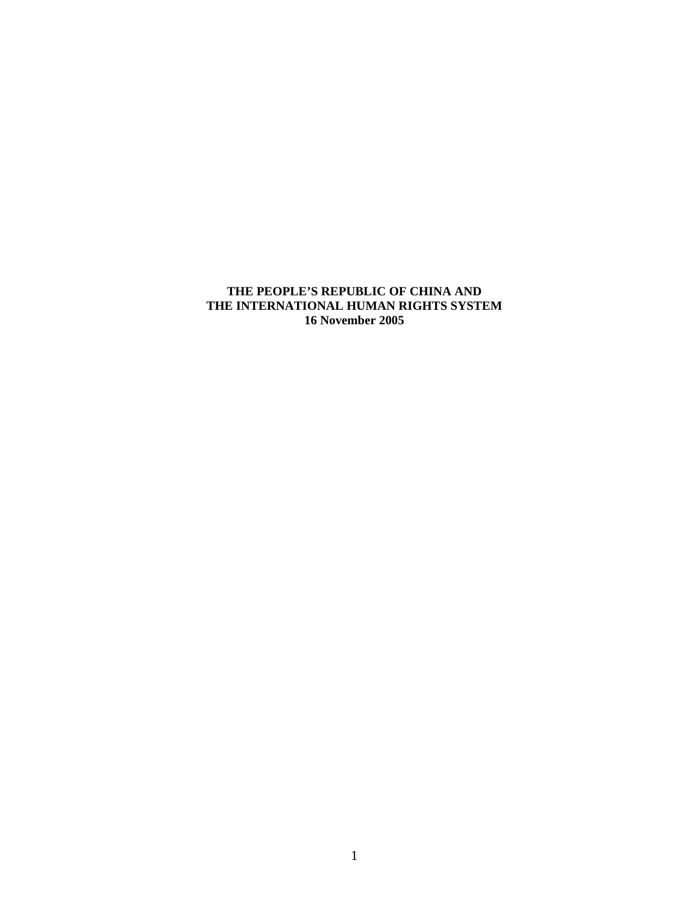# **THE PEOPLE'S REPUBLIC OF CHINA AND THE INTERNATIONAL HUMAN RIGHTS SYSTEM 16 November 2005**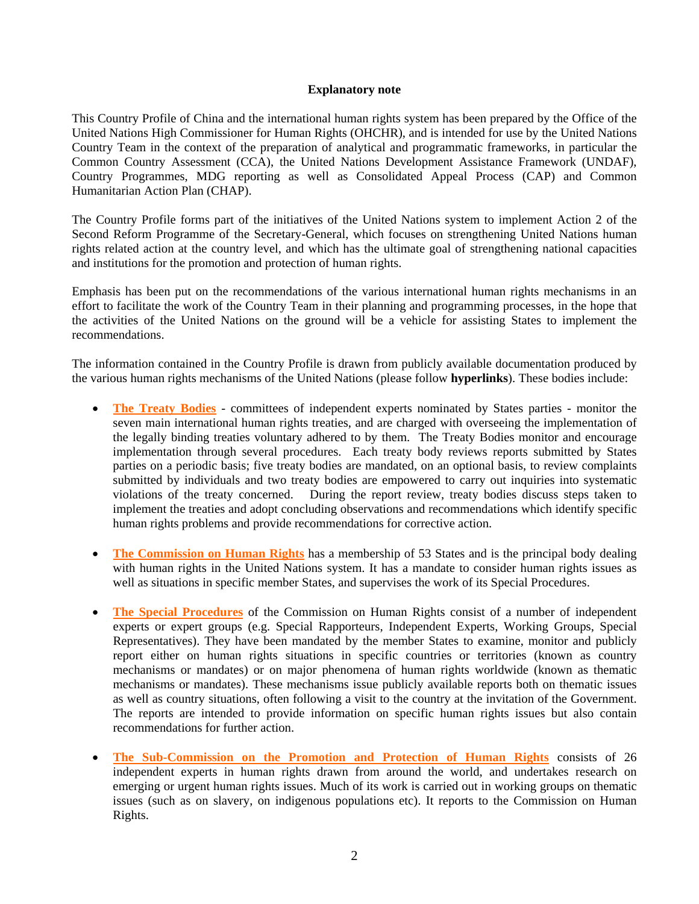## **Explanatory note**

This Country Profile of China and the international human rights system has been prepared by the Office of the United Nations High Commissioner for Human Rights (OHCHR), and is intended for use by the United Nations Country Team in the context of the preparation of analytical and programmatic frameworks, in particular the Common Country Assessment (CCA), the United Nations Development Assistance Framework (UNDAF), Country Programmes, MDG reporting as well as Consolidated Appeal Process (CAP) and Common Humanitarian Action Plan (CHAP).

The Country Profile forms part of the initiatives of the United Nations system to implement Action 2 of the Second Reform Programme of the Secretary-General, which focuses on strengthening United Nations human rights related action at the country level, and which has the ultimate goal of strengthening national capacities and institutions for the promotion and protection of human rights.

Emphasis has been put on the recommendations of the various international human rights mechanisms in an effort to facilitate the work of the Country Team in their planning and programming processes, in the hope that the activities of the United Nations on the ground will be a vehicle for assisting States to implement the recommendations.

The information contained in the Country Profile is drawn from publicly available documentation produced by the various human rights mechanisms of the United Nations (please follow **hyperlinks**). These bodies include:

- **[The Treaty Bodies](http://www.unhchr.ch/html/menu2/convmech.htm)** committees of independent experts nominated by States parties monitor the seven main international human rights treaties, and are charged with overseeing the implementation of the legally binding treaties voluntary adhered to by them. The Treaty Bodies monitor and encourage implementation through several procedures. Each treaty body reviews reports submitted by States parties on a periodic basis; five treaty bodies are mandated, on an optional basis, to review complaints submitted by individuals and two treaty bodies are empowered to carry out inquiries into systematic violations of the treaty concerned. During the report review, treaty bodies discuss steps taken to implement the treaties and adopt concluding observations and recommendations which identify specific human rights problems and provide recommendations for corrective action.
- **[The Commission on Human Rights](http://www.unhchr.ch/html/menu2/2/chr.htm)** has a membership of 53 States and is the principal body dealing with human rights in the United Nations system. It has a mandate to consider human rights issues as well as situations in specific member States, and supervises the work of its Special Procedures.
- **[The Special Procedures](http://www.unhchr.ch/html/menu2/2/mechanisms.htm)** of the Commission on Human Rights consist of a number of independent experts or expert groups (e.g. Special Rapporteurs, Independent Experts, Working Groups, Special Representatives). They have been mandated by the member States to examine, monitor and publicly report either on human rights situations in specific countries or territories (known as country mechanisms or mandates) or on major phenomena of human rights worldwide (known as thematic mechanisms or mandates). These mechanisms issue publicly available reports both on thematic issues as well as country situations, often following a visit to the country at the invitation of the Government. The reports are intended to provide information on specific human rights issues but also contain recommendations for further action.
- **[The Sub-Commission on the Promotion and Protection of Human Rights](http://www.unhchr.ch/html/menu2/2/sc.htm)** consists of 26 independent experts in human rights drawn from around the world, and undertakes research on emerging or urgent human rights issues. Much of its work is carried out in working groups on thematic issues (such as on slavery, on indigenous populations etc). It reports to the Commission on Human Rights.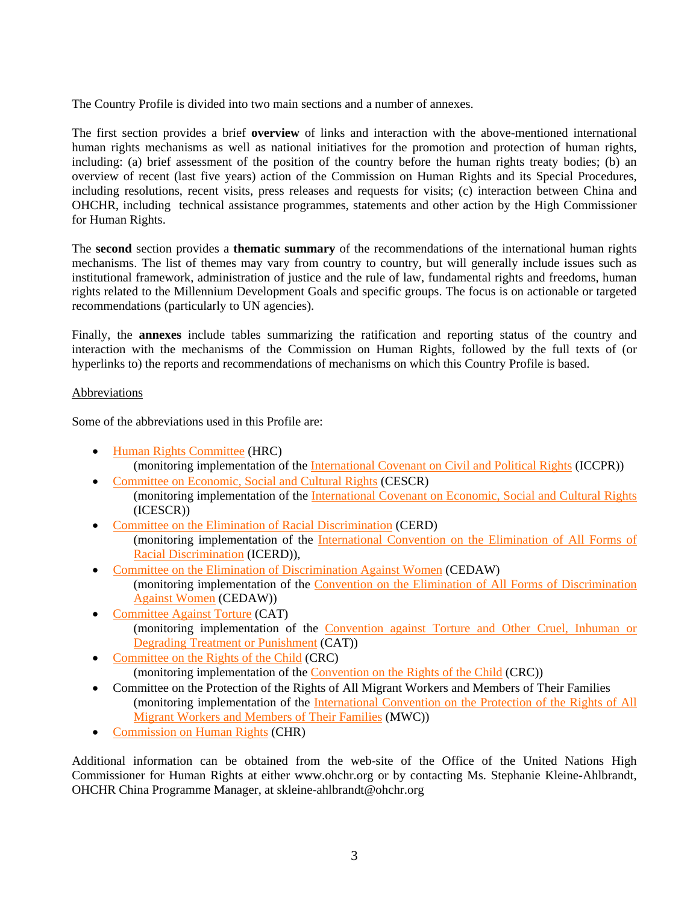The Country Profile is divided into two main sections and a number of annexes.

The first section provides a brief **overview** of links and interaction with the above-mentioned international human rights mechanisms as well as national initiatives for the promotion and protection of human rights, including: (a) brief assessment of the position of the country before the human rights treaty bodies; (b) an overview of recent (last five years) action of the Commission on Human Rights and its Special Procedures, including resolutions, recent visits, press releases and requests for visits; (c) interaction between China and OHCHR, including technical assistance programmes, statements and other action by the High Commissioner for Human Rights.

The **second** section provides a **thematic summary** of the recommendations of the international human rights mechanisms. The list of themes may vary from country to country, but will generally include issues such as institutional framework, administration of justice and the rule of law, fundamental rights and freedoms, human rights related to the Millennium Development Goals and specific groups. The focus is on actionable or targeted recommendations (particularly to UN agencies).

Finally, the **annexes** include tables summarizing the ratification and reporting status of the country and interaction with the mechanisms of the Commission on Human Rights, followed by the full texts of (or hyperlinks to) the reports and recommendations of mechanisms on which this Country Profile is based.

# Abbreviations

Some of the abbreviations used in this Profile are:

- [Human Rights Committee](http://www.unhchr.ch/html/menu2/6/hrc.htm) (HRC) (monitoring implementation of the [International Covenant on Civil and Political Rights](http://www.unhchr.ch/html/menu3/b/a_ccpr.htm) (ICCPR))
- [Committee on Economic, Social and Cultural Rights](http://www.unhchr.ch/html/menu2/6/cescr.htm) (CESCR) (monitoring implementation of the [International Covenant on Economic, Social and Cultural Rights](http://www.unhchr.ch/html/menu3/b/a_cescr.htm) (ICESCR))
- [Committee on the Elimination of Racial Discrimination](http://www.unhchr.ch/html/menu2/6/cerd.htm) (CERD) (monitoring implementation of the [International Convention on the Elimination of All Forms of](http://www.unhchr.ch/html/menu3/b/d_icerd.htm)  [Racial Discrimination](http://www.unhchr.ch/html/menu3/b/d_icerd.htm) (ICERD)),
- [Committee on the Elimination of Discrimination Against Women](http://www.unhchr.ch/html/menu2/6/cedw.htm) (CEDAW) (monitoring implementation of the [Convention on the Elimination of All Forms of Discrimination](http://www.unhchr.ch/html/menu3/b/e1cedaw.htm)  [Against Women](http://www.unhchr.ch/html/menu3/b/e1cedaw.htm) (CEDAW))
- [Committee Against Torture](http://www.unhchr.ch/html/menu2/6/cat/index.html) (CAT) (monitoring implementation of the [Convention against Torture and Other Cruel, Inhuman or](http://www.unhchr.ch/html/menu3/b/h_cat39.htm)  [Degrading Treatment or Punishment](http://www.unhchr.ch/html/menu3/b/h_cat39.htm) (CAT))
- [Committee on the Rights of the Child](http://www.unhchr.ch/html/menu2/6/crc/) (CRC) (monitoring implementation of the [Convention on the Rights of the Child](http://www.unhchr.ch/html/menu2/6/crc/treaties/crc.htm) (CRC))
- Committee on the Protection of the Rights of All Migrant Workers and Members of Their Families (monitoring implementation of the [International Convention on the Protection of the Rights of All](http://www.unhchr.ch/html/menu3/b/m_mwctoc.htm)  [Migrant Workers and Members of Their Families](http://www.unhchr.ch/html/menu3/b/m_mwctoc.htm) (MWC))
- [Commission on Human Rights](http://www.unhchr.ch/html/menu2/2/chr.htm) (CHR)

Additional information can be obtained from the web-site of the Office of the United Nations High Commissioner for Human Rights at either www.ohchr.org or by contacting Ms. Stephanie Kleine-Ahlbrandt, OHCHR China Programme Manager, at skleine-ahlbrandt@ohchr.org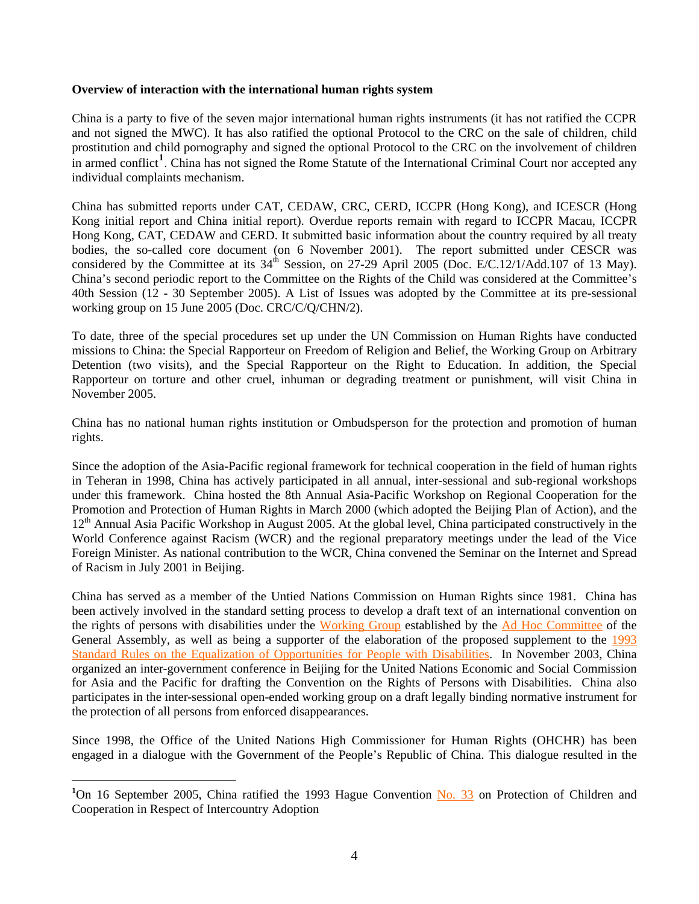## <span id="page-3-0"></span>**Overview of interaction with the international human rights system**

China is a party to five of the seven major international human rights instruments (it has not ratified the CCPR and not signed the MWC). It has also ratified the optional Protocol to the CRC on the sale of children, child prostitution and child pornography and signed the optional Protocol to the CRC on the involvement of children in armed conflict<sup>[1](#page-3-0)</sup>. China has not signed the Rome Statute of the International Criminal Court nor accepted any individual complaints mechanism.

China has submitted reports under CAT, CEDAW, CRC, CERD, ICCPR (Hong Kong), and ICESCR (Hong Kong initial report and China initial report). Overdue reports remain with regard to ICCPR Macau, ICCPR Hong Kong, CAT, CEDAW and CERD. It submitted basic information about the country required by all treaty bodies, the so-called core document (on 6 November 2001). The report submitted under CESCR was considered by the Committee at its 34<sup>th</sup> Session, on 27-29 April 2005 (Doc. E/C.12/1/Add.107 of 13 May). China's second periodic report to the Committee on the Rights of the Child was considered at the Committee's 40th Session (12 - 30 September 2005). A List of Issues was adopted by the Committee at its pre-sessional working group on 15 June 2005 (Doc. CRC/C/Q/CHN/2).

To date, three of the special procedures set up under the UN Commission on Human Rights have conducted missions to China: the Special Rapporteur on Freedom of Religion and Belief, the Working Group on Arbitrary Detention (two visits), and the Special Rapporteur on the Right to Education. In addition, the Special Rapporteur on torture and other cruel, inhuman or degrading treatment or punishment, will visit China in November 2005.

China has no national human rights institution or Ombudsperson for the protection and promotion of human rights.

Since the adoption of the Asia-Pacific regional framework for technical cooperation in the field of human rights in Teheran in 1998, China has actively participated in all annual, inter-sessional and sub-regional workshops under this framework. China hosted the 8th Annual Asia-Pacific Workshop on Regional Cooperation for the Promotion and Protection of Human Rights in March 2000 (which adopted the Beijing Plan of Action), and the 12<sup>th</sup> Annual Asia Pacific Workshop in August 2005. At the global level, China participated constructively in the World Conference against Racism (WCR) and the regional preparatory meetings under the lead of the Vice Foreign Minister. As national contribution to the WCR, China convened the Seminar on the Internet and Spread of Racism in July 2001 in Beijing.

China has served as a member of the Untied Nations Commission on Human Rights since 1981. China has been actively involved in the standard setting process to develop a draft text of an international convention on the rights of persons with disabilities under the [Working Group](http://www.un.org/esa/socdev/enable/rights/ahcwg.htm) established by the [Ad Hoc Committee](http://www.un.org/esa/socdev/enable/rights/adhoccom.htm) of the General Assembly, as well as being a supporter of the elaboration of the proposed supplement to the 1993 [Standard Rules on the Equalization of Opportunities for People with Disabilities.](http://www.un.org/esa/socdev/enable/dissre00.htm) In November 2003, China organized an inter-government conference in Beijing for the United Nations Economic and Social Commission for Asia and the Pacific for drafting the Convention on the Rights of Persons with Disabilities. China also participates in the inter-sessional open-ended working group on a draft legally binding normative instrument for the protection of all persons from enforced disappearances.

Since 1998, the Office of the United Nations High Commissioner for Human Rights (OHCHR) has been engaged in a dialogue with the Government of the People's Republic of China. This dialogue resulted in the

 $\overline{a}$ 

<sup>&</sup>lt;sup>1</sup>On 16 September 2005, China ratified the 1993 Hague Convention [No. 33](http://www.hcch.net/e/status/stat33e.html) on Protection of Children and Cooperation in Respect of Intercountry Adoption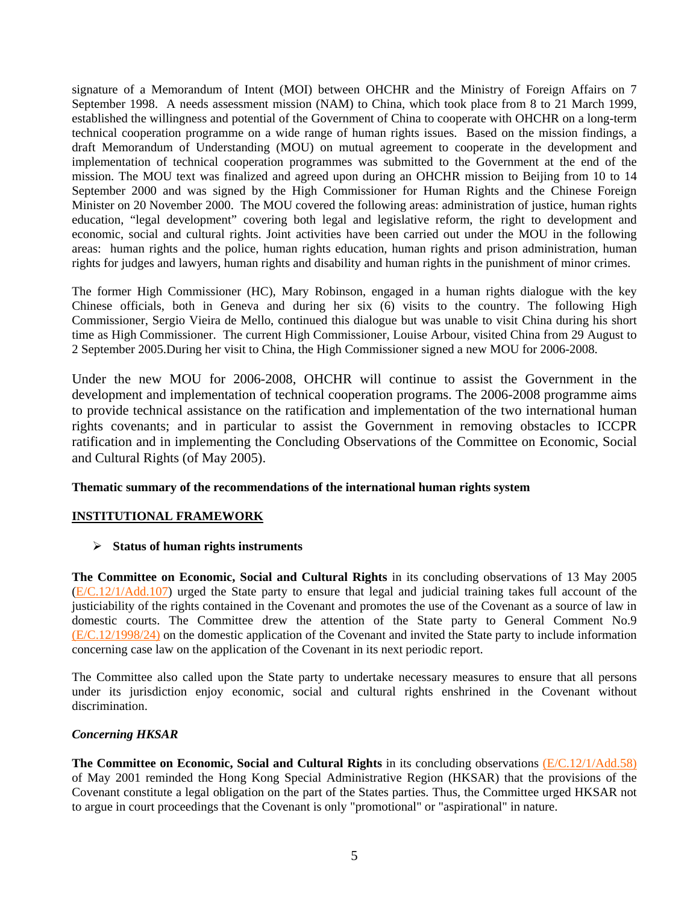signature of a Memorandum of Intent (MOI) between OHCHR and the Ministry of Foreign Affairs on 7 September 1998. A needs assessment mission (NAM) to China, which took place from 8 to 21 March 1999, established the willingness and potential of the Government of China to cooperate with OHCHR on a long-term technical cooperation programme on a wide range of human rights issues. Based on the mission findings, a draft Memorandum of Understanding (MOU) on mutual agreement to cooperate in the development and implementation of technical cooperation programmes was submitted to the Government at the end of the mission. The MOU text was finalized and agreed upon during an OHCHR mission to Beijing from 10 to 14 September 2000 and was signed by the High Commissioner for Human Rights and the Chinese Foreign Minister on 20 November 2000. The MOU covered the following areas: administration of justice, human rights education, "legal development" covering both legal and legislative reform, the right to development and economic, social and cultural rights. Joint activities have been carried out under the MOU in the following areas: human rights and the police, human rights education, human rights and prison administration, human rights for judges and lawyers, human rights and disability and human rights in the punishment of minor crimes.

The former High Commissioner (HC), Mary Robinson, engaged in a human rights dialogue with the key Chinese officials, both in Geneva and during her six (6) visits to the country. The following High Commissioner, Sergio Vieira de Mello, continued this dialogue but was unable to visit China during his short time as High Commissioner. The current High Commissioner, Louise Arbour, visited China from 29 August to 2 September 2005.During her visit to China, the High Commissioner signed a new MOU for 2006-2008.

Under the new MOU for 2006-2008, OHCHR will continue to assist the Government in the development and implementation of technical cooperation programs. The 2006-2008 programme aims to provide technical assistance on the ratification and implementation of the two international human rights covenants; and in particular to assist the Government in removing obstacles to ICCPR ratification and in implementing the Concluding Observations of the Committee on Economic, Social and Cultural Rights (of May 2005).

## **Thematic summary of the recommendations of the international human rights system**

## **INSTITUTIONAL FRAMEWORK**

## ¾ **Status of human rights instruments**

**The Committee on Economic, Social and Cultural Rights** in its concluding observations of 13 May 2005 ([E/C.12/1/Add.107](http://www.unhchr.ch/tbs/doc.nsf/(Symbol)/E.C.12.1.Add.107.En?Opendocument)) urged the State party to ensure that legal and judicial training takes full account of the justiciability of the rights contained in the Covenant and promotes the use of the Covenant as a source of law in domestic courts. The Committee drew the attention of the State party to General Comment No.9 [\(E/C.12/1998/24\)](http://www.unhchr.ch/tbs/doc.nsf/(Symbol)/4ceb75c5492497d9802566d500516036?Opendocument) on the domestic application of the Covenant and invited the State party to include information concerning case law on the application of the Covenant in its next periodic report.

The Committee also called upon the State party to undertake necessary measures to ensure that all persons under its jurisdiction enjoy economic, social and cultural rights enshrined in the Covenant without discrimination.

## *Concerning HKSAR*

**The Committee on Economic, Social and Cultural Rights** in its concluding observations [\(E/C.12/1/Add.58\)](http://www.unhchr.ch/tbs/doc.nsf/(Symbol)/1f67bd3f2a811fddc1256a4c002ed71a?Opendocument) of May 2001 reminded the Hong Kong Special Administrative Region (HKSAR) that the provisions of the Covenant constitute a legal obligation on the part of the States parties. Thus, the Committee urged HKSAR not to argue in court proceedings that the Covenant is only "promotional" or "aspirational" in nature.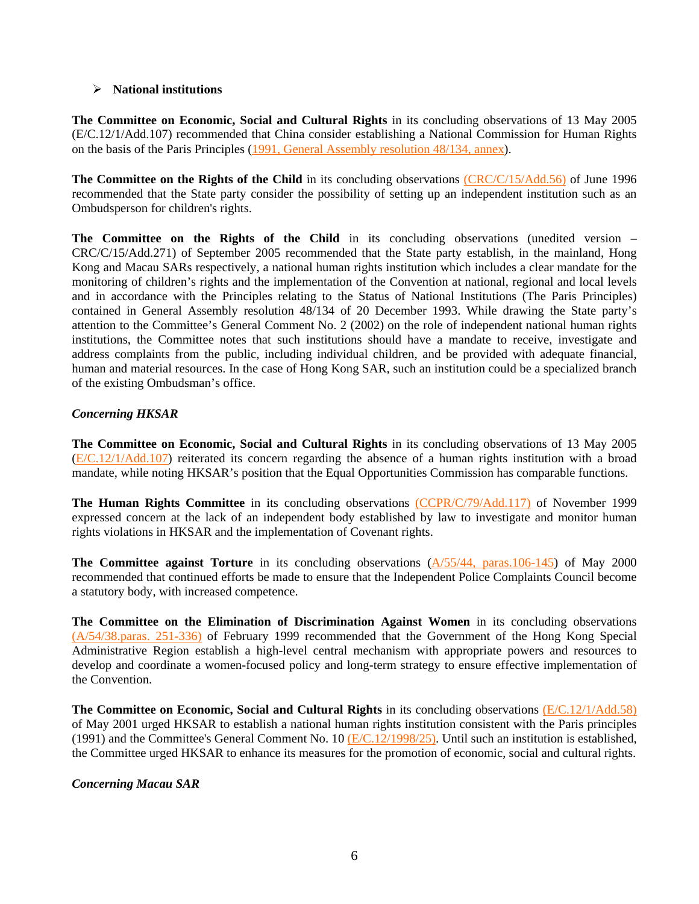## ¾ **National institutions**

**The Committee on Economic, Social and Cultural Rights** in its concluding observations of 13 May 2005 (E/C.12/1/Add.107) recommended that China consider establishing a National Commission for Human Rights on the basis of the Paris Principles ([1991, General Assembly resolution 48/134, annex\)](http://www.ohchr.org/english/law/parisprinciples.htm).

**The Committee on the Rights of the Child** in its concluding observations [\(CRC/C/15/Add.56\)](http://www.unhchr.ch/tbs/doc.nsf/(Symbol)/d26a86d517d48050c125636300424a98?Opendocument) of June 1996 recommended that the State party consider the possibility of setting up an independent institution such as an Ombudsperson for children's rights.

The Committee on the Rights of the Child in its concluding observations (unedited version – CRC/C/15/Add.271) of September 2005 recommended that the State party establish, in the mainland, Hong Kong and Macau SARs respectively, a national human rights institution which includes a clear mandate for the monitoring of children's rights and the implementation of the Convention at national, regional and local levels and in accordance with the Principles relating to the Status of National Institutions (The Paris Principles) contained in General Assembly resolution 48/134 of 20 December 1993. While drawing the State party's attention to the Committee's General Comment No. 2 (2002) on the role of independent national human rights institutions, the Committee notes that such institutions should have a mandate to receive, investigate and address complaints from the public, including individual children, and be provided with adequate financial, human and material resources. In the case of Hong Kong SAR, such an institution could be a specialized branch of the existing Ombudsman's office.

## *Concerning HKSAR*

**The Committee on Economic, Social and Cultural Rights** in its concluding observations of 13 May 2005 ([E/C.12/1/Add.107](http://www.unhchr.ch/tbs/doc.nsf/(Symbol)/E.C.12.1.Add.107.En?Opendocument)) reiterated its concern regarding the absence of a human rights institution with a broad mandate, while noting HKSAR's position that the Equal Opportunities Commission has comparable functions.

The Human Rights Committee in its concluding observations [\(CCPR/C/79/Add.117\)](http://www.unhchr.ch/tbs/doc.nsf/(Symbol)/d3f40053e45c17fd80256820005cfdf6?Opendocument) of November 1999 expressed concern at the lack of an independent body established by law to investigate and monitor human rights violations in HKSAR and the implementation of Covenant rights.

**The Committee against Torture** in its concluding observations [\(A/55/44, paras.106-145](http://www.unhchr.ch/tbs/doc.nsf/(Symbol)/9eefbd7bb869adc4802568e3004efdaf?Opendocument)) of May 2000 recommended that continued efforts be made to ensure that the Independent Police Complaints Council become a statutory body, with increased competence.

**The Committee on the Elimination of Discrimination Against Women** in its concluding observations [\(A/54/38.paras. 251-336\)](http://www.unhchr.ch/tbs/doc.nsf/(Symbol)/1483ffb5a2a626a980256732003e82c8?Opendocument) of February 1999 recommended that the Government of the Hong Kong Special Administrative Region establish a high-level central mechanism with appropriate powers and resources to develop and coordinate a women-focused policy and long-term strategy to ensure effective implementation of the Convention.

**The Committee on Economic, Social and Cultural Rights** in its concluding observations [\(E/C.12/1/Add.58\)](http://www.unhchr.ch/tbs/doc.nsf/(Symbol)/1f67bd3f2a811fddc1256a4c002ed71a?Opendocument) of May 2001 urged HKSAR to establish a national human rights institution consistent with the Paris principles (1991) and the Committee's General Comment No. 10 [\(E/C.12/1998/25\).](http://www.unhchr.ch/tbs/doc.nsf/(Symbol)/af81bf2fed39cec1802566d50052f53b?Opendocument) Until such an institution is established, the Committee urged HKSAR to enhance its measures for the promotion of economic, social and cultural rights.

## *Concerning Macau SAR*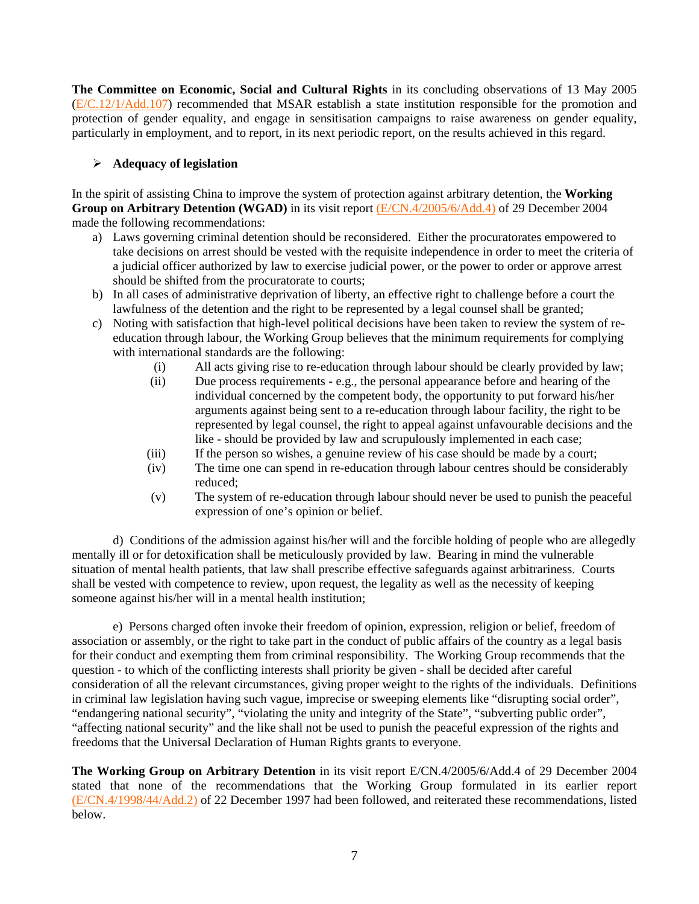**The Committee on Economic, Social and Cultural Rights** in its concluding observations of 13 May 2005 ([E/C.12/1/Add.107](http://www.unhchr.ch/tbs/doc.nsf/(Symbol)/E.C.12.1.Add.107.En?Opendocument)) recommended that MSAR establish a state institution responsible for the promotion and protection of gender equality, and engage in sensitisation campaigns to raise awareness on gender equality, particularly in employment, and to report, in its next periodic report, on the results achieved in this regard.

# ¾ **Adequacy of legislation**

In the spirit of assisting China to improve the system of protection against arbitrary detention, the **Working Group on Arbitrary Detention (WGAD)** in its visit report [\(E/CN.4/2005/6/Add.4\)](http://daccessdds.un.org/doc/UNDOC/GEN/G05/102/74/PDF/G0510274.pdf?OpenElement) of 29 December 2004 made the following recommendations:

- a) Laws governing criminal detention should be reconsidered. Either the procuratorates empowered to take decisions on arrest should be vested with the requisite independence in order to meet the criteria of a judicial officer authorized by law to exercise judicial power, or the power to order or approve arrest should be shifted from the procuratorate to courts;
- b) In all cases of administrative deprivation of liberty, an effective right to challenge before a court the lawfulness of the detention and the right to be represented by a legal counsel shall be granted;
- c) Noting with satisfaction that high-level political decisions have been taken to review the system of reeducation through labour, the Working Group believes that the minimum requirements for complying with international standards are the following:
	- (i) All acts giving rise to re-education through labour should be clearly provided by law;
	- (ii) Due process requirements e.g., the personal appearance before and hearing of the individual concerned by the competent body, the opportunity to put forward his/her arguments against being sent to a re-education through labour facility, the right to be represented by legal counsel, the right to appeal against unfavourable decisions and the like - should be provided by law and scrupulously implemented in each case;
	- (iii) If the person so wishes, a genuine review of his case should be made by a court;
	- (iv) The time one can spend in re-education through labour centres should be considerably reduced;
	- (v) The system of re-education through labour should never be used to punish the peaceful expression of one's opinion or belief.

d) Conditions of the admission against his/her will and the forcible holding of people who are allegedly mentally ill or for detoxification shall be meticulously provided by law. Bearing in mind the vulnerable situation of mental health patients, that law shall prescribe effective safeguards against arbitrariness. Courts shall be vested with competence to review, upon request, the legality as well as the necessity of keeping someone against his/her will in a mental health institution;

 e) Persons charged often invoke their freedom of opinion, expression, religion or belief, freedom of association or assembly, or the right to take part in the conduct of public affairs of the country as a legal basis for their conduct and exempting them from criminal responsibility. The Working Group recommends that the question - to which of the conflicting interests shall priority be given - shall be decided after careful consideration of all the relevant circumstances, giving proper weight to the rights of the individuals. Definitions in criminal law legislation having such vague, imprecise or sweeping elements like "disrupting social order", "endangering national security", "violating the unity and integrity of the State", "subverting public order", "affecting national security" and the like shall not be used to punish the peaceful expression of the rights and freedoms that the Universal Declaration of Human Rights grants to everyone.

**The Working Group on Arbitrary Detention** in its visit report E/CN.4/2005/6/Add.4 of 29 December 2004 stated that none of the recommendations that the Working Group formulated in its earlier report [\(E/CN.4/1998/44/Add.2\)](http://www.unhchr.ch/Huridocda/Huridoca.nsf/TestFrame/2a5b902348361462c125661700513f8c?Opendocument) of 22 December 1997 had been followed, and reiterated these recommendations, listed below.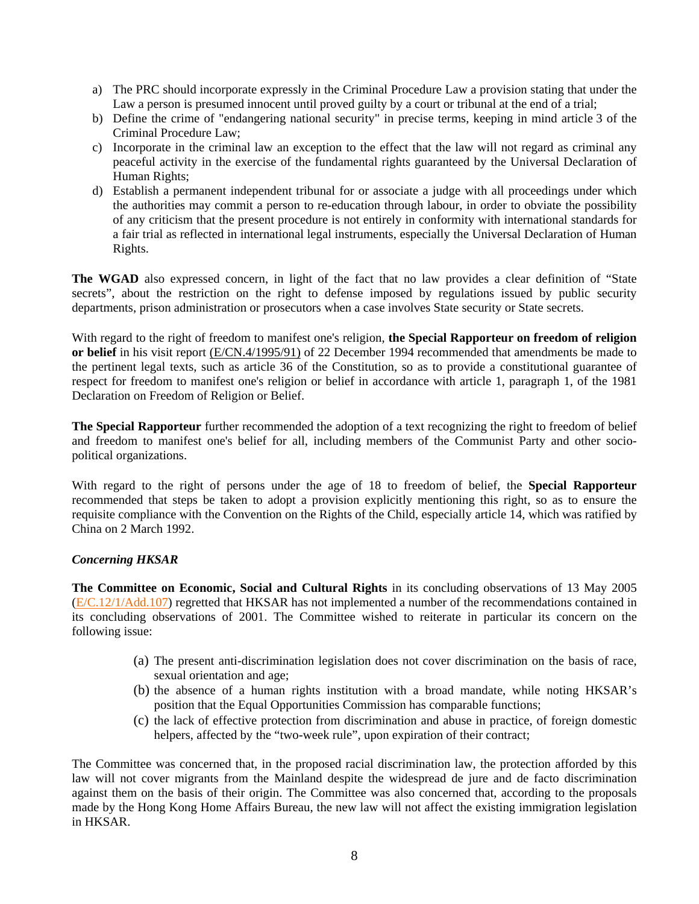- a) The PRC should incorporate expressly in the Criminal Procedure Law a provision stating that under the Law a person is presumed innocent until proved guilty by a court or tribunal at the end of a trial;
- b) Define the crime of "endangering national security" in precise terms, keeping in mind article 3 of the Criminal Procedure Law;
- c) Incorporate in the criminal law an exception to the effect that the law will not regard as criminal any peaceful activity in the exercise of the fundamental rights guaranteed by the Universal Declaration of Human Rights;
- d) Establish a permanent independent tribunal for or associate a judge with all proceedings under which the authorities may commit a person to re-education through labour, in order to obviate the possibility of any criticism that the present procedure is not entirely in conformity with international standards for a fair trial as reflected in international legal instruments, especially the Universal Declaration of Human Rights.

**The WGAD** also expressed concern, in light of the fact that no law provides a clear definition of "State" secrets", about the restriction on the right to defense imposed by regulations issued by public security departments, prison administration or prosecutors when a case involves State security or State secrets.

With regard to the right of freedom to manifest one's religion, **the Special Rapporteur on freedom of religion or belief** in his visit report [\(E/CN.4/1995/91\)](http://www.unhchr.ch/Huridocda/Huridoca.nsf/TestFrame/16bc89ca3a97d363802567190066394b?Opendocument) of 22 December 1994 recommended that amendments be made to the pertinent legal texts, such as article 36 of the Constitution, so as to provide a constitutional guarantee of respect for freedom to manifest one's religion or belief in accordance with article 1, paragraph 1, of the 1981 Declaration on Freedom of Religion or Belief.

**The Special Rapporteur** further recommended the adoption of a text recognizing the right to freedom of belief and freedom to manifest one's belief for all, including members of the Communist Party and other sociopolitical organizations.

With regard to the right of persons under the age of 18 to freedom of belief, the **Special Rapporteur** recommended that steps be taken to adopt a provision explicitly mentioning this right, so as to ensure the requisite compliance with the Convention on the Rights of the Child, especially article 14, which was ratified by China on 2 March 1992.

## *Concerning HKSAR*

**The Committee on Economic, Social and Cultural Rights** in its concluding observations of 13 May 2005 ([E/C.12/1/Add.107](http://www.unhchr.ch/tbs/doc.nsf/(Symbol)/E.C.12.1.Add.107.En?Opendocument)) regretted that HKSAR has not implemented a number of the recommendations contained in its concluding observations of 2001. The Committee wished to reiterate in particular its concern on the following issue:

- (a) The present anti-discrimination legislation does not cover discrimination on the basis of race, sexual orientation and age;
- (b) the absence of a human rights institution with a broad mandate, while noting HKSAR's position that the Equal Opportunities Commission has comparable functions;
- (c) the lack of effective protection from discrimination and abuse in practice, of foreign domestic helpers, affected by the "two-week rule", upon expiration of their contract;

The Committee was concerned that, in the proposed racial discrimination law, the protection afforded by this law will not cover migrants from the Mainland despite the widespread de jure and de facto discrimination against them on the basis of their origin. The Committee was also concerned that, according to the proposals made by the Hong Kong Home Affairs Bureau, the new law will not affect the existing immigration legislation in HKSAR.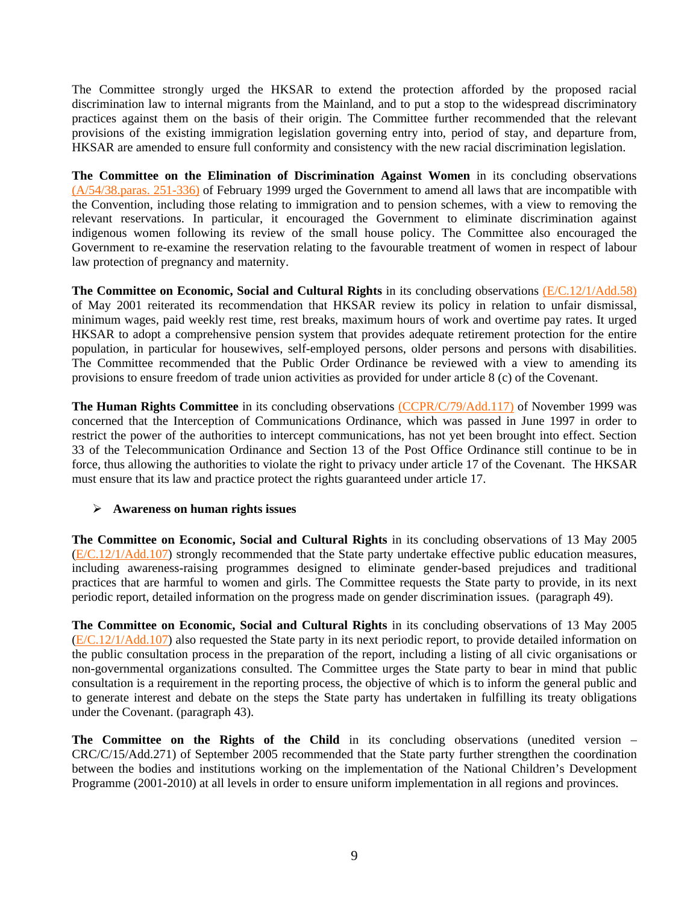The Committee strongly urged the HKSAR to extend the protection afforded by the proposed racial discrimination law to internal migrants from the Mainland, and to put a stop to the widespread discriminatory practices against them on the basis of their origin. The Committee further recommended that the relevant provisions of the existing immigration legislation governing entry into, period of stay, and departure from, HKSAR are amended to ensure full conformity and consistency with the new racial discrimination legislation.

**The Committee on the Elimination of Discrimination Against Women** in its concluding observations [\(A/54/38.paras. 251-336\)](http://www.unhchr.ch/tbs/doc.nsf/(Symbol)/1483ffb5a2a626a980256732003e82c8?Opendocument) of February 1999 urged the Government to amend all laws that are incompatible with the Convention, including those relating to immigration and to pension schemes, with a view to removing the relevant reservations. In particular, it encouraged the Government to eliminate discrimination against indigenous women following its review of the small house policy. The Committee also encouraged the Government to re-examine the reservation relating to the favourable treatment of women in respect of labour law protection of pregnancy and maternity.

**The Committee on Economic, Social and Cultural Rights** in its concluding observations [\(E/C.12/1/Add.58\)](http://www.unhchr.ch/tbs/doc.nsf/(Symbol)/1f67bd3f2a811fddc1256a4c002ed71a?Opendocument) of May 2001 reiterated its recommendation that HKSAR review its policy in relation to unfair dismissal, minimum wages, paid weekly rest time, rest breaks, maximum hours of work and overtime pay rates. It urged HKSAR to adopt a comprehensive pension system that provides adequate retirement protection for the entire population, in particular for housewives, self-employed persons, older persons and persons with disabilities. The Committee recommended that the Public Order Ordinance be reviewed with a view to amending its provisions to ensure freedom of trade union activities as provided for under article 8 (c) of the Covenant.

**The Human Rights Committee** in its concluding observations [\(CCPR/C/79/Add.117\)](http://www.unhchr.ch/tbs/doc.nsf/(Symbol)/d3f40053e45c17fd80256820005cfdf6?Opendocument) of November 1999 was concerned that the Interception of Communications Ordinance, which was passed in June 1997 in order to restrict the power of the authorities to intercept communications, has not yet been brought into effect. Section 33 of the Telecommunication Ordinance and Section 13 of the Post Office Ordinance still continue to be in force, thus allowing the authorities to violate the right to privacy under article 17 of the Covenant. The HKSAR must ensure that its law and practice protect the rights guaranteed under article 17.

## ¾ **Awareness on human rights issues**

**The Committee on Economic, Social and Cultural Rights** in its concluding observations of 13 May 2005 ([E/C.12/1/Add.107](http://www.unhchr.ch/tbs/doc.nsf/(Symbol)/E.C.12.1.Add.107.En?Opendocument)) strongly recommended that the State party undertake effective public education measures, including awareness-raising programmes designed to eliminate gender-based prejudices and traditional practices that are harmful to women and girls. The Committee requests the State party to provide, in its next periodic report, detailed information on the progress made on gender discrimination issues. (paragraph 49).

**The Committee on Economic, Social and Cultural Rights** in its concluding observations of 13 May 2005 ([E/C.12/1/Add.107](http://www.unhchr.ch/tbs/doc.nsf/(Symbol)/E.C.12.1.Add.107.En?Opendocument)) also requested the State party in its next periodic report, to provide detailed information on the public consultation process in the preparation of the report, including a listing of all civic organisations or non-governmental organizations consulted. The Committee urges the State party to bear in mind that public consultation is a requirement in the reporting process, the objective of which is to inform the general public and to generate interest and debate on the steps the State party has undertaken in fulfilling its treaty obligations under the Covenant. (paragraph 43).

**The Committee on the Rights of the Child** in its concluding observations (unedited version – CRC/C/15/Add.271) of September 2005 recommended that the State party further strengthen the coordination between the bodies and institutions working on the implementation of the National Children's Development Programme (2001-2010) at all levels in order to ensure uniform implementation in all regions and provinces.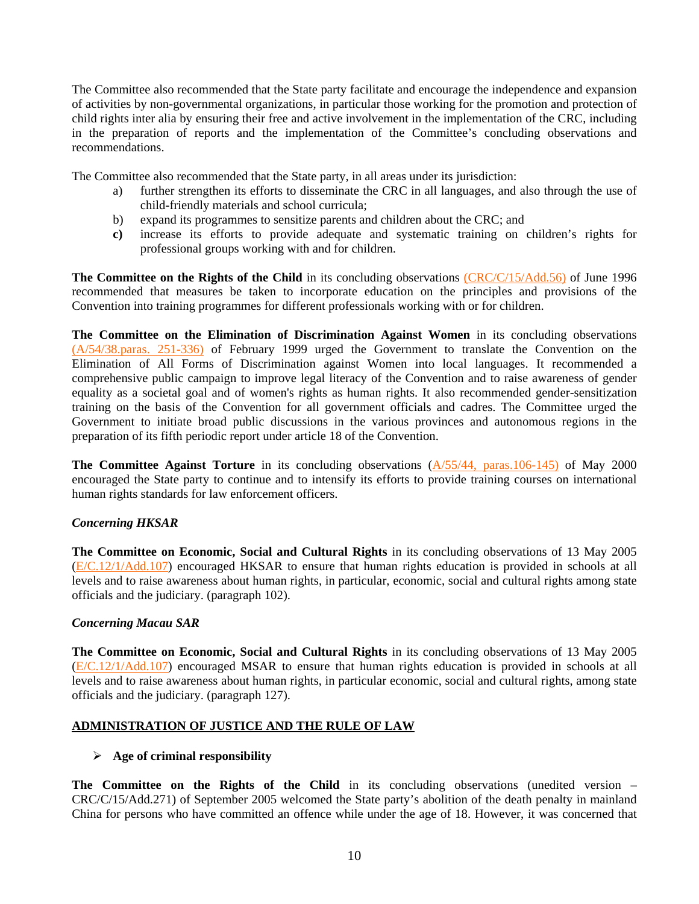The Committee also recommended that the State party facilitate and encourage the independence and expansion of activities by non-governmental organizations, in particular those working for the promotion and protection of child rights inter alia by ensuring their free and active involvement in the implementation of the CRC, including in the preparation of reports and the implementation of the Committee's concluding observations and recommendations.

The Committee also recommended that the State party, in all areas under its jurisdiction:

- a) further strengthen its efforts to disseminate the CRC in all languages, and also through the use of child-friendly materials and school curricula;
- b) expand its programmes to sensitize parents and children about the CRC; and
- **c)** increase its efforts to provide adequate and systematic training on children's rights for professional groups working with and for children.

**The Committee on the Rights of the Child** in its concluding observations [\(CRC/C/15/Add.56\)](http://www.unhchr.ch/tbs/doc.nsf/(Symbol)/d26a86d517d48050c125636300424a98?Opendocument) of June 1996 recommended that measures be taken to incorporate education on the principles and provisions of the Convention into training programmes for different professionals working with or for children.

**The Committee on the Elimination of Discrimination Against Women** in its concluding observations [\(A/54/38.paras. 251-336\)](http://www.unhchr.ch/tbs/doc.nsf/(Symbol)/1483ffb5a2a626a980256732003e82c8?Opendocument) of February 1999 urged the Government to translate the Convention on the Elimination of All Forms of Discrimination against Women into local languages. It recommended a comprehensive public campaign to improve legal literacy of the Convention and to raise awareness of gender equality as a societal goal and of women's rights as human rights. It also recommended gender-sensitization training on the basis of the Convention for all government officials and cadres. The Committee urged the Government to initiate broad public discussions in the various provinces and autonomous regions in the preparation of its fifth periodic report under article 18 of the Convention.

**The Committee Against Torture** in its concluding observations ( $\frac{A}{55/44}$ , paras.106-145) of May 2000 encouraged the State party to continue and to intensify its efforts to provide training courses on international human rights standards for law enforcement officers.

## *Concerning HKSAR*

**The Committee on Economic, Social and Cultural Rights** in its concluding observations of 13 May 2005 ([E/C.12/1/Add.107](http://www.unhchr.ch/tbs/doc.nsf/(Symbol)/E.C.12.1.Add.107.En?Opendocument)) encouraged HKSAR to ensure that human rights education is provided in schools at all levels and to raise awareness about human rights, in particular, economic, social and cultural rights among state officials and the judiciary. (paragraph 102).

## *Concerning Macau SAR*

**The Committee on Economic, Social and Cultural Rights** in its concluding observations of 13 May 2005 ([E/C.12/1/Add.107](http://www.unhchr.ch/tbs/doc.nsf/(Symbol)/E.C.12.1.Add.107.En?Opendocument)) encouraged MSAR to ensure that human rights education is provided in schools at all levels and to raise awareness about human rights, in particular economic, social and cultural rights, among state officials and the judiciary. (paragraph 127).

## **ADMINISTRATION OF JUSTICE AND THE RULE OF LAW**

## ¾ **Age of criminal responsibility**

The Committee on the Rights of the Child in its concluding observations (unedited version – CRC/C/15/Add.271) of September 2005 welcomed the State party's abolition of the death penalty in mainland China for persons who have committed an offence while under the age of 18. However, it was concerned that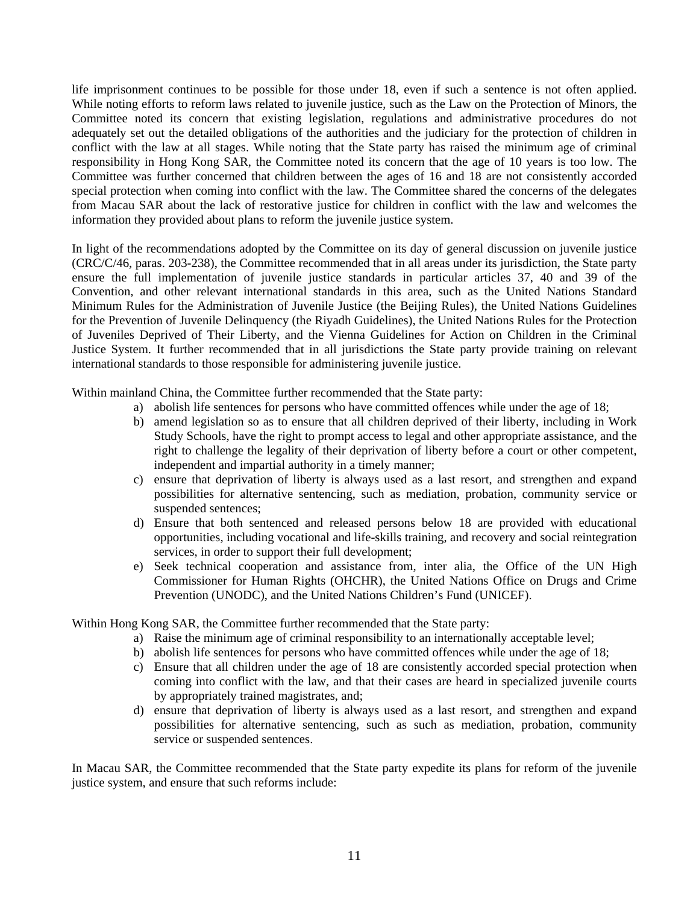life imprisonment continues to be possible for those under 18, even if such a sentence is not often applied. While noting efforts to reform laws related to juvenile justice, such as the Law on the Protection of Minors, the Committee noted its concern that existing legislation, regulations and administrative procedures do not adequately set out the detailed obligations of the authorities and the judiciary for the protection of children in conflict with the law at all stages. While noting that the State party has raised the minimum age of criminal responsibility in Hong Kong SAR, the Committee noted its concern that the age of 10 years is too low. The Committee was further concerned that children between the ages of 16 and 18 are not consistently accorded special protection when coming into conflict with the law. The Committee shared the concerns of the delegates from Macau SAR about the lack of restorative justice for children in conflict with the law and welcomes the information they provided about plans to reform the juvenile justice system.

In light of the recommendations adopted by the Committee on its day of general discussion on juvenile justice (CRC/C/46, paras. 203-238), the Committee recommended that in all areas under its jurisdiction, the State party ensure the full implementation of juvenile justice standards in particular articles 37, 40 and 39 of the Convention, and other relevant international standards in this area, such as the United Nations Standard Minimum Rules for the Administration of Juvenile Justice (the Beijing Rules), the United Nations Guidelines for the Prevention of Juvenile Delinquency (the Riyadh Guidelines), the United Nations Rules for the Protection of Juveniles Deprived of Their Liberty, and the Vienna Guidelines for Action on Children in the Criminal Justice System. It further recommended that in all jurisdictions the State party provide training on relevant international standards to those responsible for administering juvenile justice.

Within mainland China, the Committee further recommended that the State party:

- a) abolish life sentences for persons who have committed offences while under the age of 18;
- b) amend legislation so as to ensure that all children deprived of their liberty, including in Work Study Schools, have the right to prompt access to legal and other appropriate assistance, and the right to challenge the legality of their deprivation of liberty before a court or other competent, independent and impartial authority in a timely manner;
- c) ensure that deprivation of liberty is always used as a last resort, and strengthen and expand possibilities for alternative sentencing, such as mediation, probation, community service or suspended sentences;
- d) Ensure that both sentenced and released persons below 18 are provided with educational opportunities, including vocational and life-skills training, and recovery and social reintegration services, in order to support their full development;
- e) Seek technical cooperation and assistance from, inter alia, the Office of the UN High Commissioner for Human Rights (OHCHR), the United Nations Office on Drugs and Crime Prevention (UNODC), and the United Nations Children's Fund (UNICEF).

Within Hong Kong SAR, the Committee further recommended that the State party:

- a) Raise the minimum age of criminal responsibility to an internationally acceptable level;
- b) abolish life sentences for persons who have committed offences while under the age of 18;
- c) Ensure that all children under the age of 18 are consistently accorded special protection when coming into conflict with the law, and that their cases are heard in specialized juvenile courts by appropriately trained magistrates, and;
- d) ensure that deprivation of liberty is always used as a last resort, and strengthen and expand possibilities for alternative sentencing, such as such as mediation, probation, community service or suspended sentences.

In Macau SAR, the Committee recommended that the State party expedite its plans for reform of the juvenile justice system, and ensure that such reforms include: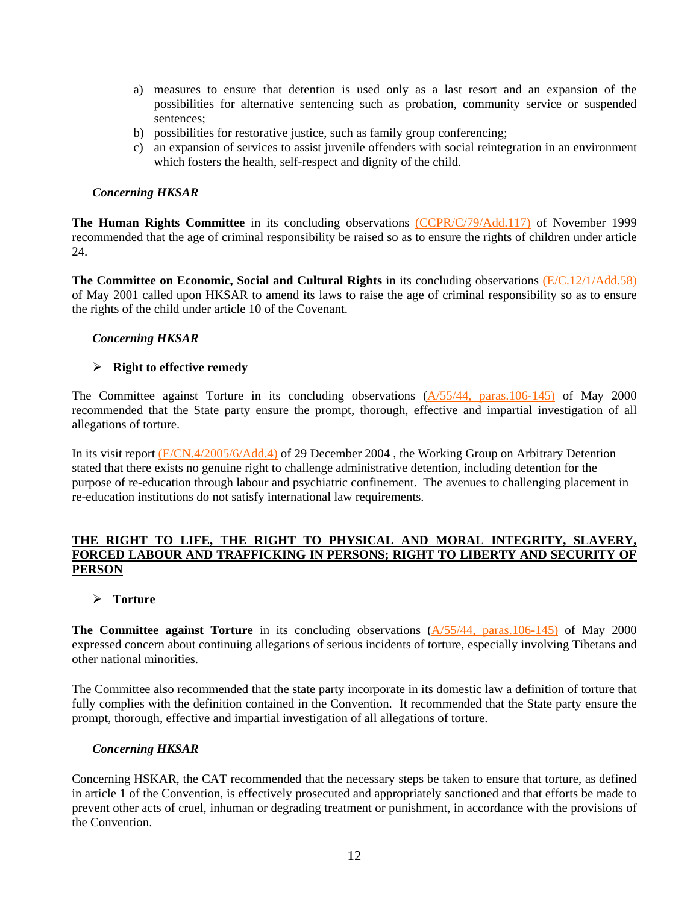- a) measures to ensure that detention is used only as a last resort and an expansion of the possibilities for alternative sentencing such as probation, community service or suspended sentences;
- b) possibilities for restorative justice, such as family group conferencing;
- c) an expansion of services to assist juvenile offenders with social reintegration in an environment which fosters the health, self-respect and dignity of the child.

## *Concerning HKSAR*

**The Human Rights Committee** in its concluding observations [\(CCPR/C/79/Add.117\)](http://www.unhchr.ch/tbs/doc.nsf/(Symbol)/d3f40053e45c17fd80256820005cfdf6?Opendocument) of November 1999 recommended that the age of criminal responsibility be raised so as to ensure the rights of children under article 24.

**The Committee on Economic, Social and Cultural Rights** in its concluding observations [\(E/C.12/1/Add.58\)](http://www.unhchr.ch/tbs/doc.nsf/(Symbol)/1f67bd3f2a811fddc1256a4c002ed71a?Opendocument) of May 2001 called upon HKSAR to amend its laws to raise the age of criminal responsibility so as to ensure the rights of the child under article 10 of the Covenant.

# *Concerning HKSAR*

# ¾ **Right to effective remedy**

The Committee against Torture in its concluding observations ( $\frac{A}{55}/44$ , paras. 106-145) of May 2000 recommended that the State party ensure the prompt, thorough, effective and impartial investigation of all allegations of torture.

In its visit report [\(E/CN.4/2005/6/Add.4\)](http://daccessdds.un.org/doc/UNDOC/GEN/G05/102/74/PDF/G0510274.pdf?OpenElement) of 29 December 2004 , the Working Group on Arbitrary Detention stated that there exists no genuine right to challenge administrative detention, including detention for the purpose of re-education through labour and psychiatric confinement. The avenues to challenging placement in re-education institutions do not satisfy international law requirements.

## **THE RIGHT TO LIFE, THE RIGHT TO PHYSICAL AND MORAL INTEGRITY, SLAVERY, FORCED LABOUR AND TRAFFICKING IN PERSONS; RIGHT TO LIBERTY AND SECURITY OF PERSON**

## ¾ **Torture**

**The Committee against Torture** in its concluding observations  $(A/55/44, \text{ paras}.106-145)$  of May 2000 expressed concern about continuing allegations of serious incidents of torture, especially involving Tibetans and other national minorities.

The Committee also recommended that the state party incorporate in its domestic law a definition of torture that fully complies with the definition contained in the Convention. It recommended that the State party ensure the prompt, thorough, effective and impartial investigation of all allegations of torture.

## *Concerning HKSAR*

Concerning HSKAR, the CAT recommended that the necessary steps be taken to ensure that torture, as defined in article 1 of the Convention, is effectively prosecuted and appropriately sanctioned and that efforts be made to prevent other acts of cruel, inhuman or degrading treatment or punishment, in accordance with the provisions of the Convention.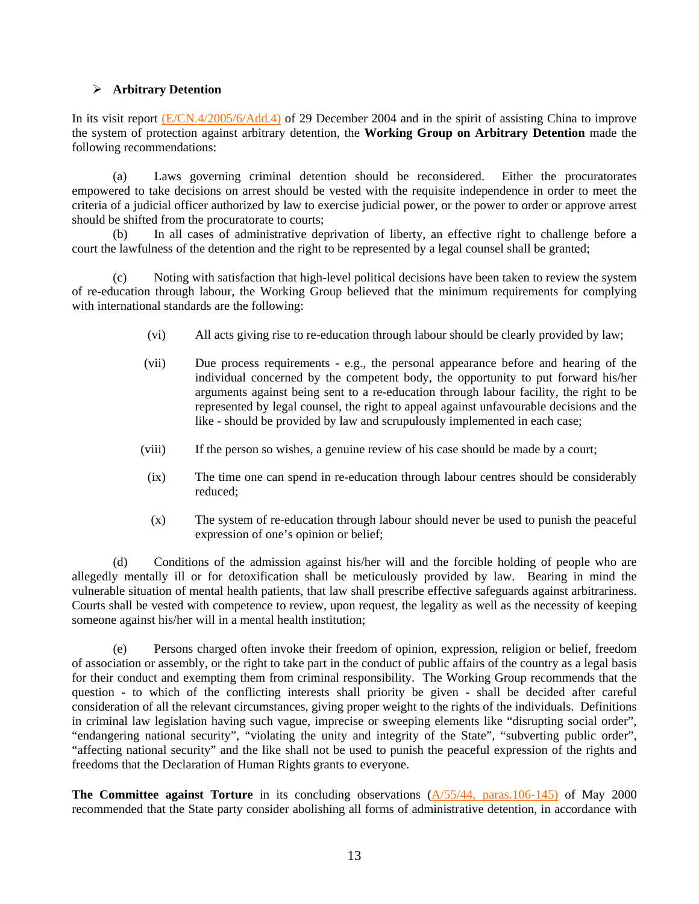## ¾ **Arbitrary Detention**

In its visit report  $(E/CN.4/2005/6/Add.4)$  of 29 December 2004 and in the spirit of assisting China to improve the system of protection against arbitrary detention, the **Working Group on Arbitrary Detention** made the following recommendations:

 (a) Laws governing criminal detention should be reconsidered. Either the procuratorates empowered to take decisions on arrest should be vested with the requisite independence in order to meet the criteria of a judicial officer authorized by law to exercise judicial power, or the power to order or approve arrest should be shifted from the procuratorate to courts;

 (b) In all cases of administrative deprivation of liberty, an effective right to challenge before a court the lawfulness of the detention and the right to be represented by a legal counsel shall be granted;

 (c) Noting with satisfaction that high-level political decisions have been taken to review the system of re-education through labour, the Working Group believed that the minimum requirements for complying with international standards are the following:

- (vi) All acts giving rise to re-education through labour should be clearly provided by law;
- (vii) Due process requirements e.g., the personal appearance before and hearing of the individual concerned by the competent body, the opportunity to put forward his/her arguments against being sent to a re-education through labour facility, the right to be represented by legal counsel, the right to appeal against unfavourable decisions and the like - should be provided by law and scrupulously implemented in each case;
- (viii) If the person so wishes, a genuine review of his case should be made by a court;
- (ix) The time one can spend in re-education through labour centres should be considerably reduced;
- (x) The system of re-education through labour should never be used to punish the peaceful expression of one's opinion or belief;

 (d) Conditions of the admission against his/her will and the forcible holding of people who are allegedly mentally ill or for detoxification shall be meticulously provided by law. Bearing in mind the vulnerable situation of mental health patients, that law shall prescribe effective safeguards against arbitrariness. Courts shall be vested with competence to review, upon request, the legality as well as the necessity of keeping someone against his/her will in a mental health institution;

 (e) Persons charged often invoke their freedom of opinion, expression, religion or belief, freedom of association or assembly, or the right to take part in the conduct of public affairs of the country as a legal basis for their conduct and exempting them from criminal responsibility. The Working Group recommends that the question - to which of the conflicting interests shall priority be given - shall be decided after careful consideration of all the relevant circumstances, giving proper weight to the rights of the individuals. Definitions in criminal law legislation having such vague, imprecise or sweeping elements like "disrupting social order", "endangering national security", "violating the unity and integrity of the State", "subverting public order", "affecting national security" and the like shall not be used to punish the peaceful expression of the rights and freedoms that the Declaration of Human Rights grants to everyone.

**The Committee against Torture** in its concluding observations [\(A/55/44, paras.106-145\)](http://www.unhchr.ch/tbs/doc.nsf/(Symbol)/9eefbd7bb869adc4802568e3004efdaf?Opendocument) of May 2000 recommended that the State party consider abolishing all forms of administrative detention, in accordance with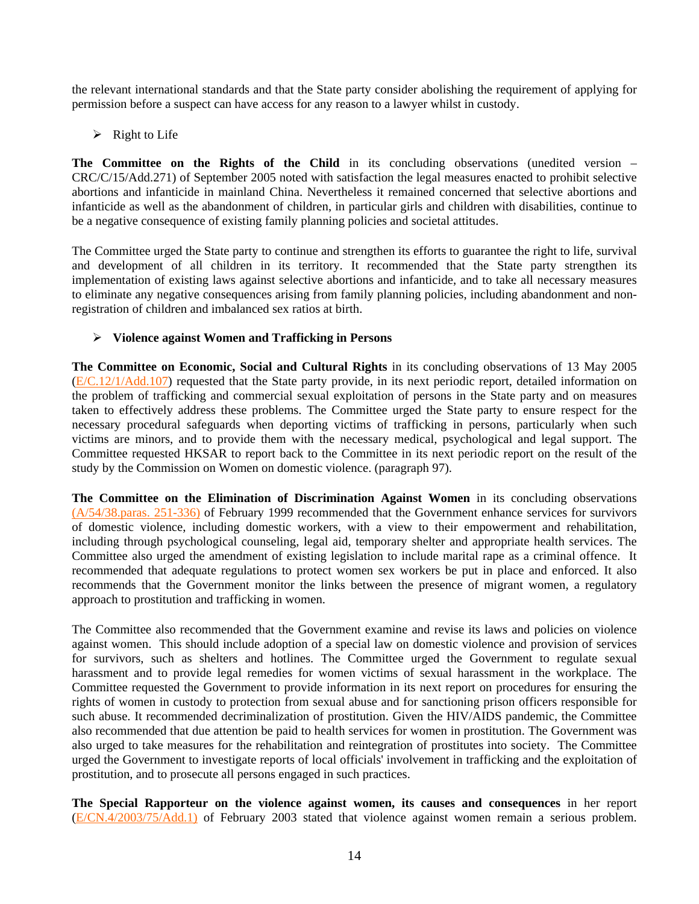the relevant international standards and that the State party consider abolishing the requirement of applying for permission before a suspect can have access for any reason to a lawyer whilst in custody.

 $\triangleright$  Right to Life

The Committee on the Rights of the Child in its concluding observations (unedited version – CRC/C/15/Add.271) of September 2005 noted with satisfaction the legal measures enacted to prohibit selective abortions and infanticide in mainland China. Nevertheless it remained concerned that selective abortions and infanticide as well as the abandonment of children, in particular girls and children with disabilities, continue to be a negative consequence of existing family planning policies and societal attitudes.

The Committee urged the State party to continue and strengthen its efforts to guarantee the right to life, survival and development of all children in its territory. It recommended that the State party strengthen its implementation of existing laws against selective abortions and infanticide, and to take all necessary measures to eliminate any negative consequences arising from family planning policies, including abandonment and nonregistration of children and imbalanced sex ratios at birth.

# ¾ **Violence against Women and Trafficking in Persons**

**The Committee on Economic, Social and Cultural Rights** in its concluding observations of 13 May 2005 ([E/C.12/1/Add.107](http://www.unhchr.ch/tbs/doc.nsf/(Symbol)/E.C.12.1.Add.107.En?Opendocument)) requested that the State party provide, in its next periodic report, detailed information on the problem of trafficking and commercial sexual exploitation of persons in the State party and on measures taken to effectively address these problems. The Committee urged the State party to ensure respect for the necessary procedural safeguards when deporting victims of trafficking in persons, particularly when such victims are minors, and to provide them with the necessary medical, psychological and legal support. The Committee requested HKSAR to report back to the Committee in its next periodic report on the result of the study by the Commission on Women on domestic violence. (paragraph 97).

**The Committee on the Elimination of Discrimination Against Women** in its concluding observations [\(A/54/38.paras. 251-336\)](http://www.unhchr.ch/tbs/doc.nsf/(Symbol)/1483ffb5a2a626a980256732003e82c8?Opendocument) of February 1999 recommended that the Government enhance services for survivors of domestic violence, including domestic workers, with a view to their empowerment and rehabilitation, including through psychological counseling, legal aid, temporary shelter and appropriate health services. The Committee also urged the amendment of existing legislation to include marital rape as a criminal offence. It recommended that adequate regulations to protect women sex workers be put in place and enforced. It also recommends that the Government monitor the links between the presence of migrant women, a regulatory approach to prostitution and trafficking in women.

The Committee also recommended that the Government examine and revise its laws and policies on violence against women. This should include adoption of a special law on domestic violence and provision of services for survivors, such as shelters and hotlines. The Committee urged the Government to regulate sexual harassment and to provide legal remedies for women victims of sexual harassment in the workplace. The Committee requested the Government to provide information in its next report on procedures for ensuring the rights of women in custody to protection from sexual abuse and for sanctioning prison officers responsible for such abuse. It recommended decriminalization of prostitution. Given the HIV/AIDS pandemic, the Committee also recommended that due attention be paid to health services for women in prostitution. The Government was also urged to take measures for the rehabilitation and reintegration of prostitutes into society. The Committee urged the Government to investigate reports of local officials' involvement in trafficking and the exploitation of prostitution, and to prosecute all persons engaged in such practices.

**The Special Rapporteur on the violence against women, its causes and consequences** in her report ([E/CN.4/2003/75/Add.1\)](http://www.unhchr.ch/Huridocda/Huridoca.nsf/TestFrame/a9c6321593428acfc1256cef0038513e?Opendocument) of February 2003 stated that violence against women remain a serious problem.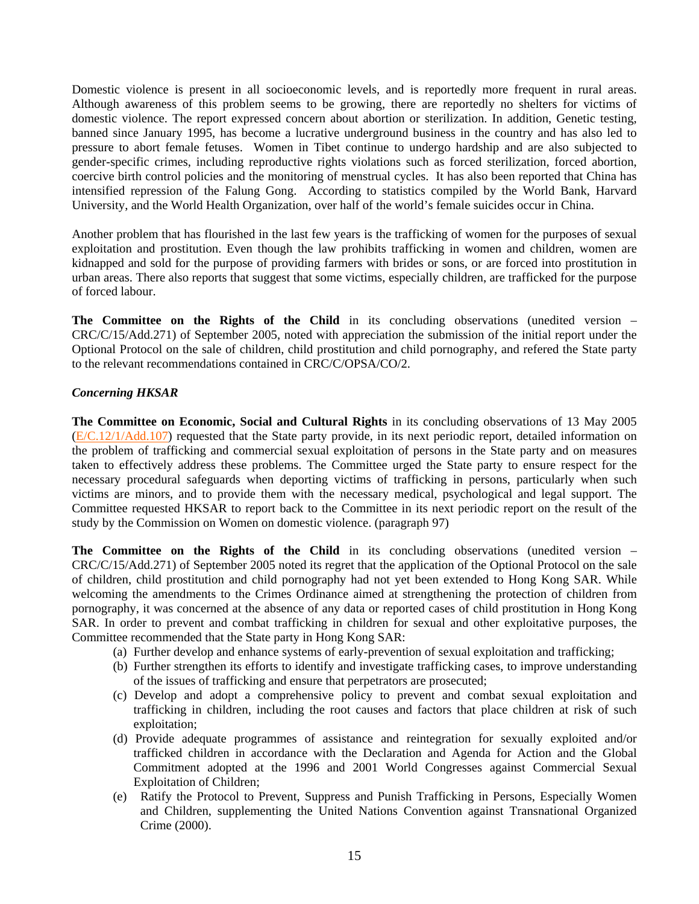Domestic violence is present in all socioeconomic levels, and is reportedly more frequent in rural areas. Although awareness of this problem seems to be growing, there are reportedly no shelters for victims of domestic violence. The report expressed concern about abortion or sterilization. In addition, Genetic testing, banned since January 1995, has become a lucrative underground business in the country and has also led to pressure to abort female fetuses. Women in Tibet continue to undergo hardship and are also subjected to gender-specific crimes, including reproductive rights violations such as forced sterilization, forced abortion, coercive birth control policies and the monitoring of menstrual cycles. It has also been reported that China has intensified repression of the Falung Gong. According to statistics compiled by the World Bank, Harvard University, and the World Health Organization, over half of the world's female suicides occur in China.

Another problem that has flourished in the last few years is the trafficking of women for the purposes of sexual exploitation and prostitution. Even though the law prohibits trafficking in women and children, women are kidnapped and sold for the purpose of providing farmers with brides or sons, or are forced into prostitution in urban areas. There also reports that suggest that some victims, especially children, are trafficked for the purpose of forced labour.

**The Committee on the Rights of the Child** in its concluding observations (unedited version – CRC/C/15/Add.271) of September 2005, noted with appreciation the submission of the initial report under the Optional Protocol on the sale of children, child prostitution and child pornography, and refered the State party to the relevant recommendations contained in CRC/C/OPSA/CO/2.

## *Concerning HKSAR*

**The Committee on Economic, Social and Cultural Rights** in its concluding observations of 13 May 2005  $(E/C.12/1/Add.107)$  $(E/C.12/1/Add.107)$  $(E/C.12/1/Add.107)$  requested that the State party provide, in its next periodic report, detailed information on the problem of trafficking and commercial sexual exploitation of persons in the State party and on measures taken to effectively address these problems. The Committee urged the State party to ensure respect for the necessary procedural safeguards when deporting victims of trafficking in persons, particularly when such victims are minors, and to provide them with the necessary medical, psychological and legal support. The Committee requested HKSAR to report back to the Committee in its next periodic report on the result of the study by the Commission on Women on domestic violence. (paragraph 97)

**The Committee on the Rights of the Child** in its concluding observations (unedited version – CRC/C/15/Add.271) of September 2005 noted its regret that the application of the Optional Protocol on the sale of children, child prostitution and child pornography had not yet been extended to Hong Kong SAR. While welcoming the amendments to the Crimes Ordinance aimed at strengthening the protection of children from pornography, it was concerned at the absence of any data or reported cases of child prostitution in Hong Kong SAR. In order to prevent and combat trafficking in children for sexual and other exploitative purposes, the Committee recommended that the State party in Hong Kong SAR:

- (a) Further develop and enhance systems of early-prevention of sexual exploitation and trafficking;
- (b) Further strengthen its efforts to identify and investigate trafficking cases, to improve understanding of the issues of trafficking and ensure that perpetrators are prosecuted;
- (c) Develop and adopt a comprehensive policy to prevent and combat sexual exploitation and trafficking in children, including the root causes and factors that place children at risk of such exploitation;
- (d) Provide adequate programmes of assistance and reintegration for sexually exploited and/or trafficked children in accordance with the Declaration and Agenda for Action and the Global Commitment adopted at the 1996 and 2001 World Congresses against Commercial Sexual Exploitation of Children;
- (e) Ratify the Protocol to Prevent, Suppress and Punish Trafficking in Persons, Especially Women and Children, supplementing the United Nations Convention against Transnational Organized Crime (2000).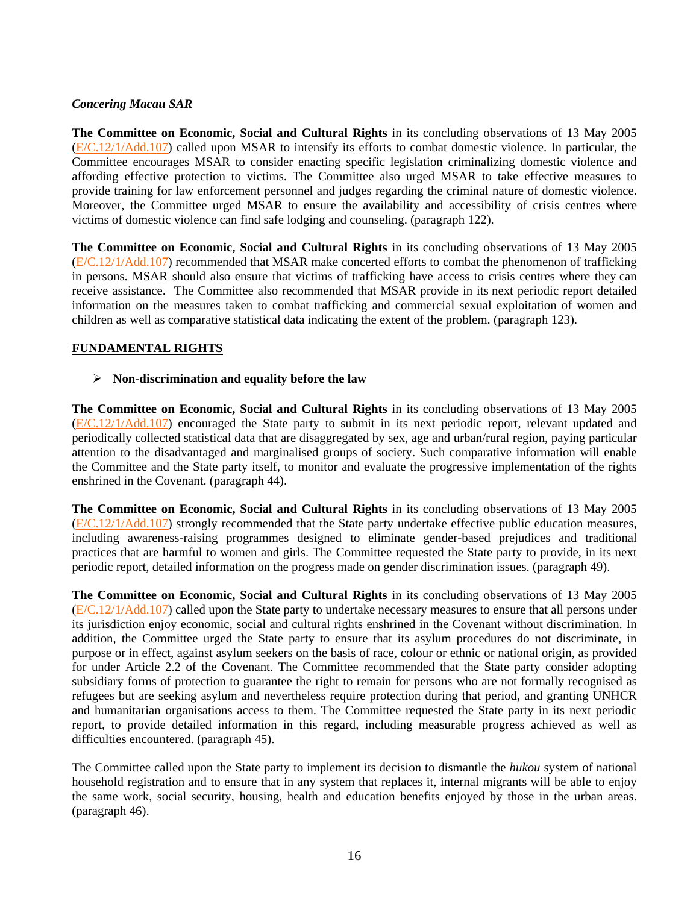## *Concering Macau SAR*

**The Committee on Economic, Social and Cultural Rights** in its concluding observations of 13 May 2005 ([E/C.12/1/Add.107](http://www.unhchr.ch/tbs/doc.nsf/(Symbol)/E.C.12.1.Add.107.En?Opendocument)) called upon MSAR to intensify its efforts to combat domestic violence. In particular, the Committee encourages MSAR to consider enacting specific legislation criminalizing domestic violence and affording effective protection to victims. The Committee also urged MSAR to take effective measures to provide training for law enforcement personnel and judges regarding the criminal nature of domestic violence. Moreover, the Committee urged MSAR to ensure the availability and accessibility of crisis centres where victims of domestic violence can find safe lodging and counseling. (paragraph 122).

**The Committee on Economic, Social and Cultural Rights** in its concluding observations of 13 May 2005 ([E/C.12/1/Add.107](http://www.unhchr.ch/tbs/doc.nsf/(Symbol)/E.C.12.1.Add.107.En?Opendocument)) recommended that MSAR make concerted efforts to combat the phenomenon of trafficking in persons. MSAR should also ensure that victims of trafficking have access to crisis centres where they can receive assistance. The Committee also recommended that MSAR provide in its next periodic report detailed information on the measures taken to combat trafficking and commercial sexual exploitation of women and children as well as comparative statistical data indicating the extent of the problem. (paragraph 123).

# **FUNDAMENTAL RIGHTS**

## ¾ **Non-discrimination and equality before the law**

**The Committee on Economic, Social and Cultural Rights** in its concluding observations of 13 May 2005 ([E/C.12/1/Add.107](http://www.unhchr.ch/tbs/doc.nsf/(Symbol)/E.C.12.1.Add.107.En?Opendocument)) encouraged the State party to submit in its next periodic report, relevant updated and periodically collected statistical data that are disaggregated by sex, age and urban/rural region, paying particular attention to the disadvantaged and marginalised groups of society. Such comparative information will enable the Committee and the State party itself, to monitor and evaluate the progressive implementation of the rights enshrined in the Covenant. (paragraph 44).

**The Committee on Economic, Social and Cultural Rights** in its concluding observations of 13 May 2005 ([E/C.12/1/Add.107](http://www.unhchr.ch/tbs/doc.nsf/(Symbol)/E.C.12.1.Add.107.En?Opendocument)) strongly recommended that the State party undertake effective public education measures, including awareness-raising programmes designed to eliminate gender-based prejudices and traditional practices that are harmful to women and girls. The Committee requested the State party to provide, in its next periodic report, detailed information on the progress made on gender discrimination issues. (paragraph 49).

**The Committee on Economic, Social and Cultural Rights** in its concluding observations of 13 May 2005 ([E/C.12/1/Add.107](http://www.unhchr.ch/tbs/doc.nsf/(Symbol)/E.C.12.1.Add.107.En?Opendocument)) called upon the State party to undertake necessary measures to ensure that all persons under its jurisdiction enjoy economic, social and cultural rights enshrined in the Covenant without discrimination. In addition, the Committee urged the State party to ensure that its asylum procedures do not discriminate, in purpose or in effect, against asylum seekers on the basis of race, colour or ethnic or national origin, as provided for under Article 2.2 of the Covenant. The Committee recommended that the State party consider adopting subsidiary forms of protection to guarantee the right to remain for persons who are not formally recognised as refugees but are seeking asylum and nevertheless require protection during that period, and granting UNHCR and humanitarian organisations access to them. The Committee requested the State party in its next periodic report, to provide detailed information in this regard, including measurable progress achieved as well as difficulties encountered. (paragraph 45).

The Committee called upon the State party to implement its decision to dismantle the *hukou* system of national household registration and to ensure that in any system that replaces it, internal migrants will be able to enjoy the same work, social security, housing, health and education benefits enjoyed by those in the urban areas. (paragraph 46).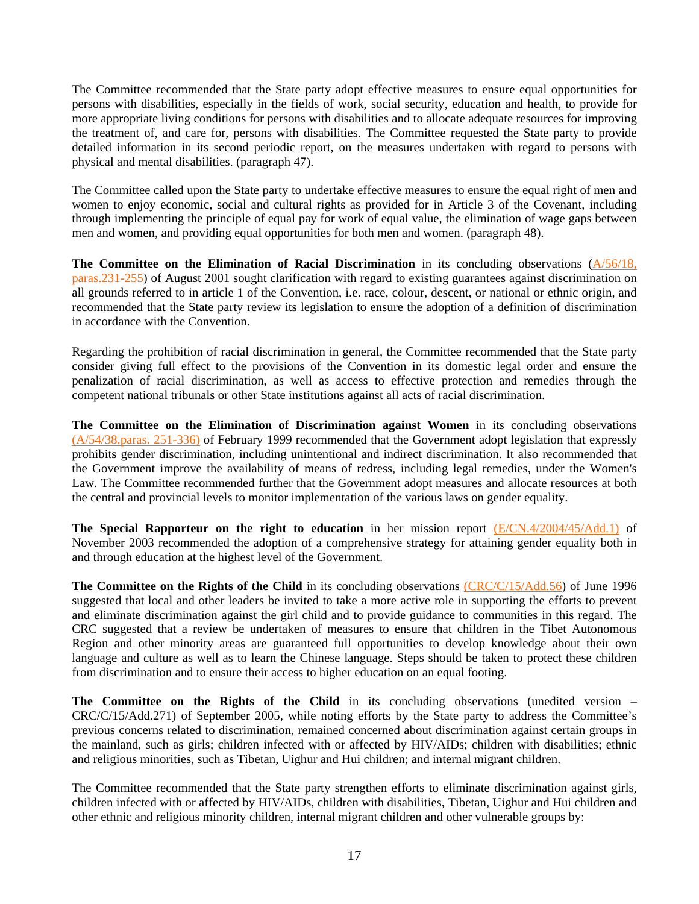The Committee recommended that the State party adopt effective measures to ensure equal opportunities for persons with disabilities, especially in the fields of work, social security, education and health, to provide for more appropriate living conditions for persons with disabilities and to allocate adequate resources for improving the treatment of, and care for, persons with disabilities. The Committee requested the State party to provide detailed information in its second periodic report, on the measures undertaken with regard to persons with physical and mental disabilities. (paragraph 47).

The Committee called upon the State party to undertake effective measures to ensure the equal right of men and women to enjoy economic, social and cultural rights as provided for in Article 3 of the Covenant, including through implementing the principle of equal pay for work of equal value, the elimination of wage gaps between men and women, and providing equal opportunities for both men and women. (paragraph 48).

The Committee on the Elimination of Racial Discrimination in its concluding observations [\(A/56/18,](http://www.unhchr.ch/tbs/doc.nsf/(Symbol)/fa1da2eee4d51bdfc1256aa4002c7afb?Opendocument) [paras.231-255\)](http://www.unhchr.ch/tbs/doc.nsf/(Symbol)/fa1da2eee4d51bdfc1256aa4002c7afb?Opendocument) of August 2001 sought clarification with regard to existing guarantees against discrimination on all grounds referred to in article 1 of the Convention, i.e. race, colour, descent, or national or ethnic origin, and recommended that the State party review its legislation to ensure the adoption of a definition of discrimination in accordance with the Convention.

Regarding the prohibition of racial discrimination in general, the Committee recommended that the State party consider giving full effect to the provisions of the Convention in its domestic legal order and ensure the penalization of racial discrimination, as well as access to effective protection and remedies through the competent national tribunals or other State institutions against all acts of racial discrimination.

**The Committee on the Elimination of Discrimination against Women** in its concluding observations [\(A/54/38.paras. 251-336\)](http://www.unhchr.ch/tbs/doc.nsf/(Symbol)/1483ffb5a2a626a980256732003e82c8?Opendocument) of February 1999 recommended that the Government adopt legislation that expressly prohibits gender discrimination, including unintentional and indirect discrimination. It also recommended that the Government improve the availability of means of redress, including legal remedies, under the Women's Law. The Committee recommended further that the Government adopt measures and allocate resources at both the central and provincial levels to monitor implementation of the various laws on gender equality.

**The Special Rapporteur on the right to education** in her mission report [\(E/CN.4/2004/45/Add.1\)](http://www.unhchr.ch/Huridocda/Huridoca.nsf/0/d2a0154274b5f3f3c1256dff002ff8f4/$FILE/G0317038.doc) of November 2003 recommended the adoption of a comprehensive strategy for attaining gender equality both in and through education at the highest level of the Government.

**The Committee on the Rights of the Child** in its concluding observations [\(CRC/C/15/Add.56](http://www.unhchr.ch/tbs/doc.nsf/(Symbol)/d26a86d517d48050c125636300424a98?Opendocument)) of June 1996 suggested that local and other leaders be invited to take a more active role in supporting the efforts to prevent and eliminate discrimination against the girl child and to provide guidance to communities in this regard. The CRC suggested that a review be undertaken of measures to ensure that children in the Tibet Autonomous Region and other minority areas are guaranteed full opportunities to develop knowledge about their own language and culture as well as to learn the Chinese language. Steps should be taken to protect these children from discrimination and to ensure their access to higher education on an equal footing.

**The Committee on the Rights of the Child** in its concluding observations (unedited version – CRC/C/15/Add.271) of September 2005, while noting efforts by the State party to address the Committee's previous concerns related to discrimination, remained concerned about discrimination against certain groups in the mainland, such as girls; children infected with or affected by HIV/AIDs; children with disabilities; ethnic and religious minorities, such as Tibetan, Uighur and Hui children; and internal migrant children.

The Committee recommended that the State party strengthen efforts to eliminate discrimination against girls, children infected with or affected by HIV/AIDs, children with disabilities, Tibetan, Uighur and Hui children and other ethnic and religious minority children, internal migrant children and other vulnerable groups by: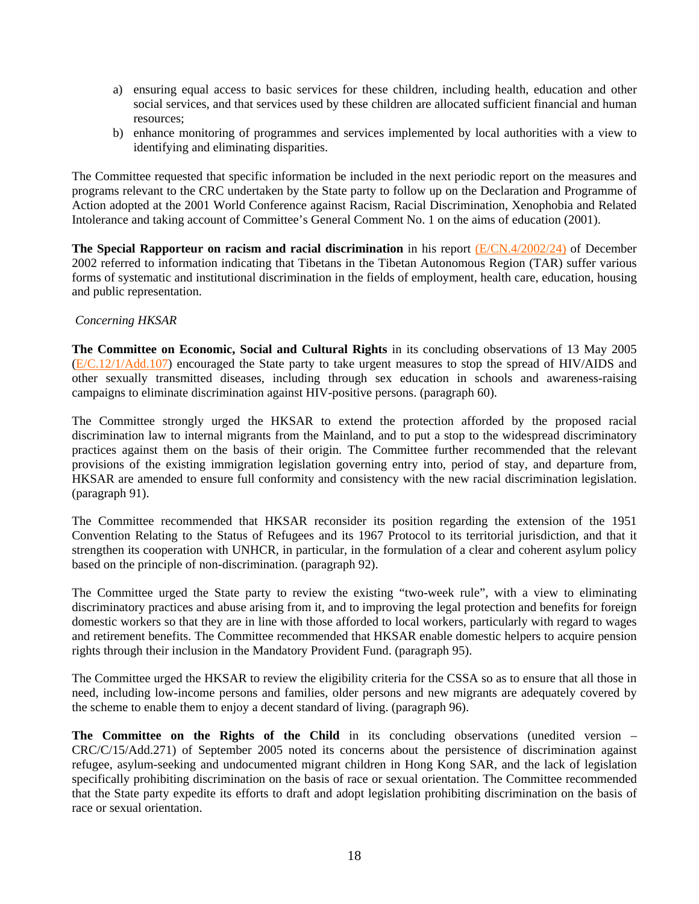- a) ensuring equal access to basic services for these children, including health, education and other social services, and that services used by these children are allocated sufficient financial and human resources;
- b) enhance monitoring of programmes and services implemented by local authorities with a view to identifying and eliminating disparities.

The Committee requested that specific information be included in the next periodic report on the measures and programs relevant to the CRC undertaken by the State party to follow up on the Declaration and Programme of Action adopted at the 2001 World Conference against Racism, Racial Discrimination, Xenophobia and Related Intolerance and taking account of Committee's General Comment No. 1 on the aims of education (2001).

**The Special Rapporteur on racism and racial discrimination** in his report [\(E/CN.4/2002/24\)](http://www.unhchr.ch/Huridocda/Huridoca.nsf/e06a5300f90fa0238025668700518ca4/1cec7613d4e77098c1256b890052422f/$FILE/G0210831.doc) of December 2002 referred to information indicating that Tibetans in the Tibetan Autonomous Region (TAR) suffer various forms of systematic and institutional discrimination in the fields of employment, health care, education, housing and public representation.

## *Concerning HKSAR*

**The Committee on Economic, Social and Cultural Rights** in its concluding observations of 13 May 2005 ([E/C.12/1/Add.107](http://www.unhchr.ch/tbs/doc.nsf/(Symbol)/E.C.12.1.Add.107.En?Opendocument)) encouraged the State party to take urgent measures to stop the spread of HIV/AIDS and other sexually transmitted diseases, including through sex education in schools and awareness-raising campaigns to eliminate discrimination against HIV-positive persons. (paragraph 60).

The Committee strongly urged the HKSAR to extend the protection afforded by the proposed racial discrimination law to internal migrants from the Mainland, and to put a stop to the widespread discriminatory practices against them on the basis of their origin. The Committee further recommended that the relevant provisions of the existing immigration legislation governing entry into, period of stay, and departure from, HKSAR are amended to ensure full conformity and consistency with the new racial discrimination legislation. (paragraph 91).

The Committee recommended that HKSAR reconsider its position regarding the extension of the 1951 Convention Relating to the Status of Refugees and its 1967 Protocol to its territorial jurisdiction, and that it strengthen its cooperation with UNHCR, in particular, in the formulation of a clear and coherent asylum policy based on the principle of non-discrimination. (paragraph 92).

The Committee urged the State party to review the existing "two-week rule", with a view to eliminating discriminatory practices and abuse arising from it, and to improving the legal protection and benefits for foreign domestic workers so that they are in line with those afforded to local workers, particularly with regard to wages and retirement benefits. The Committee recommended that HKSAR enable domestic helpers to acquire pension rights through their inclusion in the Mandatory Provident Fund. (paragraph 95).

The Committee urged the HKSAR to review the eligibility criteria for the CSSA so as to ensure that all those in need, including low-income persons and families, older persons and new migrants are adequately covered by the scheme to enable them to enjoy a decent standard of living. (paragraph 96).

**The Committee on the Rights of the Child** in its concluding observations (unedited version – CRC/C/15/Add.271) of September 2005 noted its concerns about the persistence of discrimination against refugee, asylum-seeking and undocumented migrant children in Hong Kong SAR, and the lack of legislation specifically prohibiting discrimination on the basis of race or sexual orientation. The Committee recommended that the State party expedite its efforts to draft and adopt legislation prohibiting discrimination on the basis of race or sexual orientation.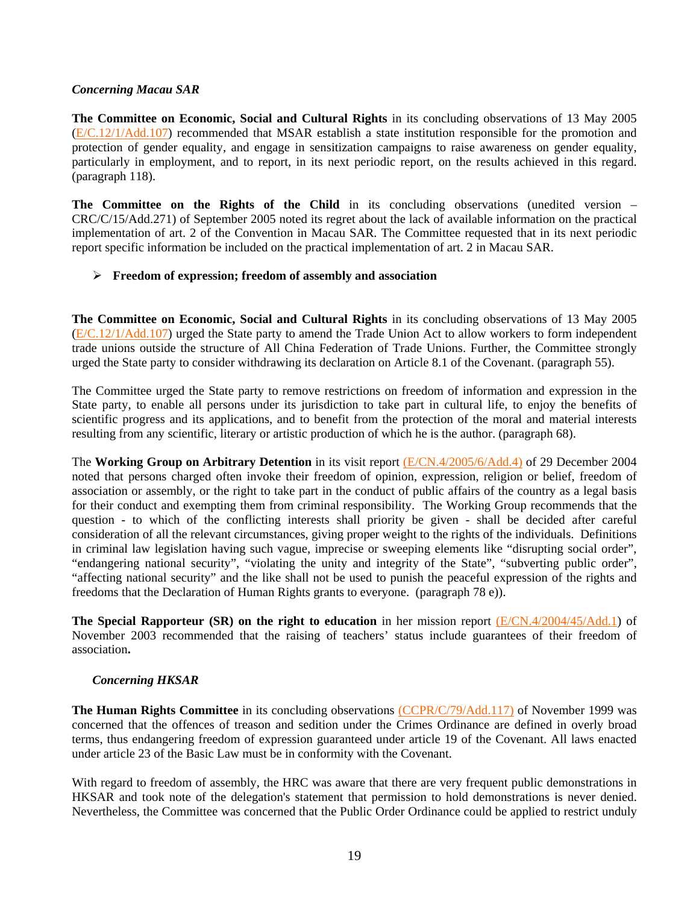## *Concerning Macau SAR*

**The Committee on Economic, Social and Cultural Rights** in its concluding observations of 13 May 2005 ([E/C.12/1/Add.107](http://www.unhchr.ch/tbs/doc.nsf/(Symbol)/E.C.12.1.Add.107.En?Opendocument)) recommended that MSAR establish a state institution responsible for the promotion and protection of gender equality, and engage in sensitization campaigns to raise awareness on gender equality, particularly in employment, and to report, in its next periodic report, on the results achieved in this regard. (paragraph 118).

**The Committee on the Rights of the Child** in its concluding observations (unedited version – CRC/C/15/Add.271) of September 2005 noted its regret about the lack of available information on the practical implementation of art. 2 of the Convention in Macau SAR. The Committee requested that in its next periodic report specific information be included on the practical implementation of art. 2 in Macau SAR.

## ¾ **Freedom of expression; freedom of assembly and association**

**The Committee on Economic, Social and Cultural Rights** in its concluding observations of 13 May 2005 ([E/C.12/1/Add.107](http://www.unhchr.ch/tbs/doc.nsf/(Symbol)/E.C.12.1.Add.107.En?Opendocument)) urged the State party to amend the Trade Union Act to allow workers to form independent trade unions outside the structure of All China Federation of Trade Unions. Further, the Committee strongly urged the State party to consider withdrawing its declaration on Article 8.1 of the Covenant. (paragraph 55).

The Committee urged the State party to remove restrictions on freedom of information and expression in the State party, to enable all persons under its jurisdiction to take part in cultural life, to enjoy the benefits of scientific progress and its applications, and to benefit from the protection of the moral and material interests resulting from any scientific, literary or artistic production of which he is the author. (paragraph 68).

The **Working Group on Arbitrary Detention** in its visit report [\(E/CN.4/2005/6/Add.4\)](http://daccessdds.un.org/doc/UNDOC/GEN/G05/102/74/PDF/G0510274.pdf?OpenElement) of 29 December 2004 noted that persons charged often invoke their freedom of opinion, expression, religion or belief, freedom of association or assembly, or the right to take part in the conduct of public affairs of the country as a legal basis for their conduct and exempting them from criminal responsibility. The Working Group recommends that the question - to which of the conflicting interests shall priority be given - shall be decided after careful consideration of all the relevant circumstances, giving proper weight to the rights of the individuals. Definitions in criminal law legislation having such vague, imprecise or sweeping elements like "disrupting social order", "endangering national security", "violating the unity and integrity of the State", "subverting public order", "affecting national security" and the like shall not be used to punish the peaceful expression of the rights and freedoms that the Declaration of Human Rights grants to everyone. (paragraph 78 e)).

**The Special Rapporteur (SR) on the right to education** in her mission report [\(E/CN.4/2004/45/Add.1\)](http://www.unhchr.ch/Huridocda/Huridoca.nsf/0/d2a0154274b5f3f3c1256dff002ff8f4/$FILE/G0317038.doc) of November 2003 recommended that the raising of teachers' status include guarantees of their freedom of association**.** 

## *Concerning HKSAR*

**The Human Rights Committee** in its concluding observations [\(CCPR/C/79/Add.117\)](http://www.unhchr.ch/tbs/doc.nsf/(Symbol)/d3f40053e45c17fd80256820005cfdf6?Opendocument) of November 1999 was concerned that the offences of treason and sedition under the Crimes Ordinance are defined in overly broad terms, thus endangering freedom of expression guaranteed under article 19 of the Covenant. All laws enacted under article 23 of the Basic Law must be in conformity with the Covenant.

With regard to freedom of assembly, the HRC was aware that there are very frequent public demonstrations in HKSAR and took note of the delegation's statement that permission to hold demonstrations is never denied. Nevertheless, the Committee was concerned that the Public Order Ordinance could be applied to restrict unduly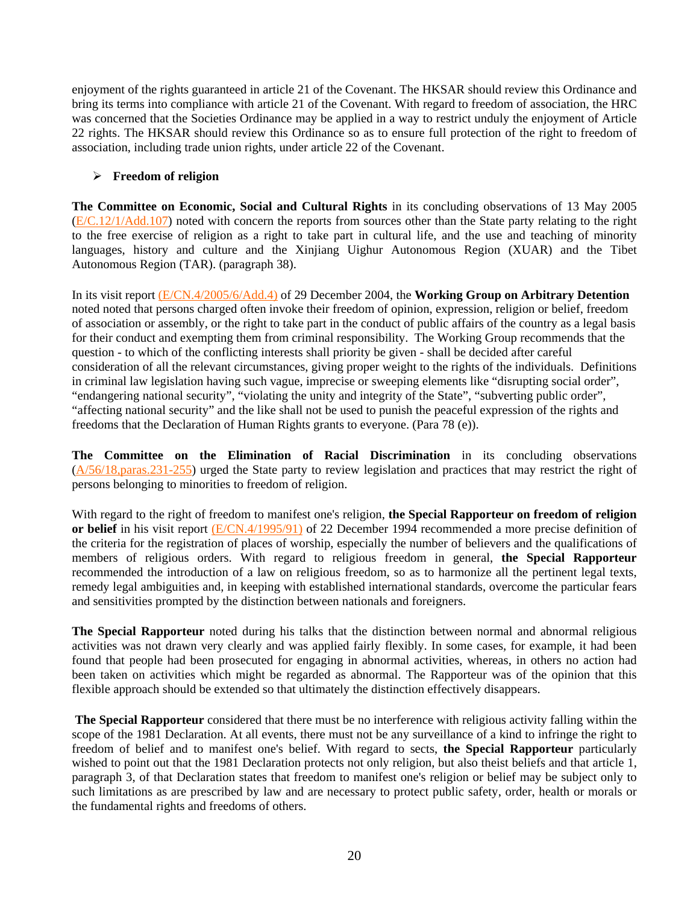enjoyment of the rights guaranteed in article 21 of the Covenant. The HKSAR should review this Ordinance and bring its terms into compliance with article 21 of the Covenant. With regard to freedom of association, the HRC was concerned that the Societies Ordinance may be applied in a way to restrict unduly the enjoyment of Article 22 rights. The HKSAR should review this Ordinance so as to ensure full protection of the right to freedom of association, including trade union rights, under article 22 of the Covenant.

# ¾ **Freedom of religion**

**The Committee on Economic, Social and Cultural Rights** in its concluding observations of 13 May 2005  $(E/C.12/1/Add.107)$  $(E/C.12/1/Add.107)$  $(E/C.12/1/Add.107)$  noted with concern the reports from sources other than the State party relating to the right to the free exercise of religion as a right to take part in cultural life, and the use and teaching of minority languages, history and culture and the Xinjiang Uighur Autonomous Region (XUAR) and the Tibet Autonomous Region (TAR). (paragraph 38).

In its visit report [\(E/CN.4/2005/6/Add.4\)](http://daccessdds.un.org/doc/UNDOC/GEN/G05/102/74/PDF/G0510274.pdf?OpenElement) of 29 December 2004, the **Working Group on Arbitrary Detention** noted noted that persons charged often invoke their freedom of opinion, expression, religion or belief, freedom of association or assembly, or the right to take part in the conduct of public affairs of the country as a legal basis for their conduct and exempting them from criminal responsibility. The Working Group recommends that the question - to which of the conflicting interests shall priority be given - shall be decided after careful consideration of all the relevant circumstances, giving proper weight to the rights of the individuals. Definitions in criminal law legislation having such vague, imprecise or sweeping elements like "disrupting social order", "endangering national security", "violating the unity and integrity of the State", "subverting public order", "affecting national security" and the like shall not be used to punish the peaceful expression of the rights and freedoms that the Declaration of Human Rights grants to everyone. (Para 78 (e)).

**The Committee on the Elimination of Racial Discrimination** in its concluding observations ([A/56/18,paras.231-255](http://www.unhchr.ch/tbs/doc.nsf/(Symbol)/fa1da2eee4d51bdfc1256aa4002c7afb?Opendocument)) urged the State party to review legislation and practices that may restrict the right of persons belonging to minorities to freedom of religion.

With regard to the right of freedom to manifest one's religion, **the Special Rapporteur on freedom of religion or belief** in his visit report [\(E/CN.4/1995/91\)](http://www.unhchr.ch/Huridocda/Huridoca.nsf/TestFrame/16bc89ca3a97d363802567190066394b?Opendocument) of 22 December 1994 recommended a more precise definition of the criteria for the registration of places of worship, especially the number of believers and the qualifications of members of religious orders. With regard to religious freedom in general, **the Special Rapporteur** recommended the introduction of a law on religious freedom, so as to harmonize all the pertinent legal texts, remedy legal ambiguities and, in keeping with established international standards, overcome the particular fears and sensitivities prompted by the distinction between nationals and foreigners.

**The Special Rapporteur** noted during his talks that the distinction between normal and abnormal religious activities was not drawn very clearly and was applied fairly flexibly. In some cases, for example, it had been found that people had been prosecuted for engaging in abnormal activities, whereas, in others no action had been taken on activities which might be regarded as abnormal. The Rapporteur was of the opinion that this flexible approach should be extended so that ultimately the distinction effectively disappears.

**The Special Rapporteur** considered that there must be no interference with religious activity falling within the scope of the 1981 Declaration. At all events, there must not be any surveillance of a kind to infringe the right to freedom of belief and to manifest one's belief. With regard to sects, **the Special Rapporteur** particularly wished to point out that the 1981 Declaration protects not only religion, but also theist beliefs and that article 1, paragraph 3, of that Declaration states that freedom to manifest one's religion or belief may be subject only to such limitations as are prescribed by law and are necessary to protect public safety, order, health or morals or the fundamental rights and freedoms of others.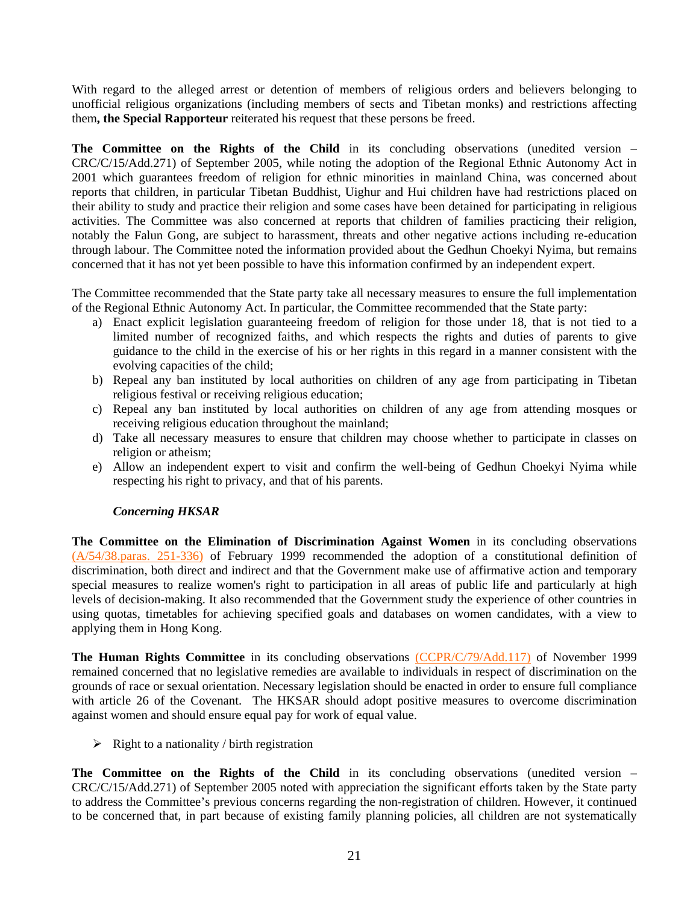With regard to the alleged arrest or detention of members of religious orders and believers belonging to unofficial religious organizations (including members of sects and Tibetan monks) and restrictions affecting them**, the Special Rapporteur** reiterated his request that these persons be freed.

**The Committee on the Rights of the Child** in its concluding observations (unedited version – CRC/C/15/Add.271) of September 2005, while noting the adoption of the Regional Ethnic Autonomy Act in 2001 which guarantees freedom of religion for ethnic minorities in mainland China, was concerned about reports that children, in particular Tibetan Buddhist, Uighur and Hui children have had restrictions placed on their ability to study and practice their religion and some cases have been detained for participating in religious activities. The Committee was also concerned at reports that children of families practicing their religion, notably the Falun Gong, are subject to harassment, threats and other negative actions including re-education through labour. The Committee noted the information provided about the Gedhun Choekyi Nyima, but remains concerned that it has not yet been possible to have this information confirmed by an independent expert.

The Committee recommended that the State party take all necessary measures to ensure the full implementation of the Regional Ethnic Autonomy Act. In particular, the Committee recommended that the State party:

- a) Enact explicit legislation guaranteeing freedom of religion for those under 18, that is not tied to a limited number of recognized faiths, and which respects the rights and duties of parents to give guidance to the child in the exercise of his or her rights in this regard in a manner consistent with the evolving capacities of the child;
- b) Repeal any ban instituted by local authorities on children of any age from participating in Tibetan religious festival or receiving religious education;
- c) Repeal any ban instituted by local authorities on children of any age from attending mosques or receiving religious education throughout the mainland;
- d) Take all necessary measures to ensure that children may choose whether to participate in classes on religion or atheism;
- e) Allow an independent expert to visit and confirm the well-being of Gedhun Choekyi Nyima while respecting his right to privacy, and that of his parents.

## *Concerning HKSAR*

**The Committee on the Elimination of Discrimination Against Women** in its concluding observations [\(A/54/38.paras. 251-336\)](http://www.unhchr.ch/tbs/doc.nsf/(Symbol)/1483ffb5a2a626a980256732003e82c8?Opendocument) of February 1999 recommended the adoption of a constitutional definition of discrimination, both direct and indirect and that the Government make use of affirmative action and temporary special measures to realize women's right to participation in all areas of public life and particularly at high levels of decision-making. It also recommended that the Government study the experience of other countries in using quotas, timetables for achieving specified goals and databases on women candidates, with a view to applying them in Hong Kong.

**The Human Rights Committee** in its concluding observations [\(CCPR/C/79/Add.117\)](http://www.unhchr.ch/tbs/doc.nsf/(Symbol)/d3f40053e45c17fd80256820005cfdf6?Opendocument) of November 1999 remained concerned that no legislative remedies are available to individuals in respect of discrimination on the grounds of race or sexual orientation. Necessary legislation should be enacted in order to ensure full compliance with article 26 of the Covenant. The HKSAR should adopt positive measures to overcome discrimination against women and should ensure equal pay for work of equal value.

 $\triangleright$  Right to a nationality / birth registration

**The Committee on the Rights of the Child** in its concluding observations (unedited version – CRC/C/15/Add.271) of September 2005 noted with appreciation the significant efforts taken by the State party to address the Committee's previous concerns regarding the non-registration of children. However, it continued to be concerned that, in part because of existing family planning policies, all children are not systematically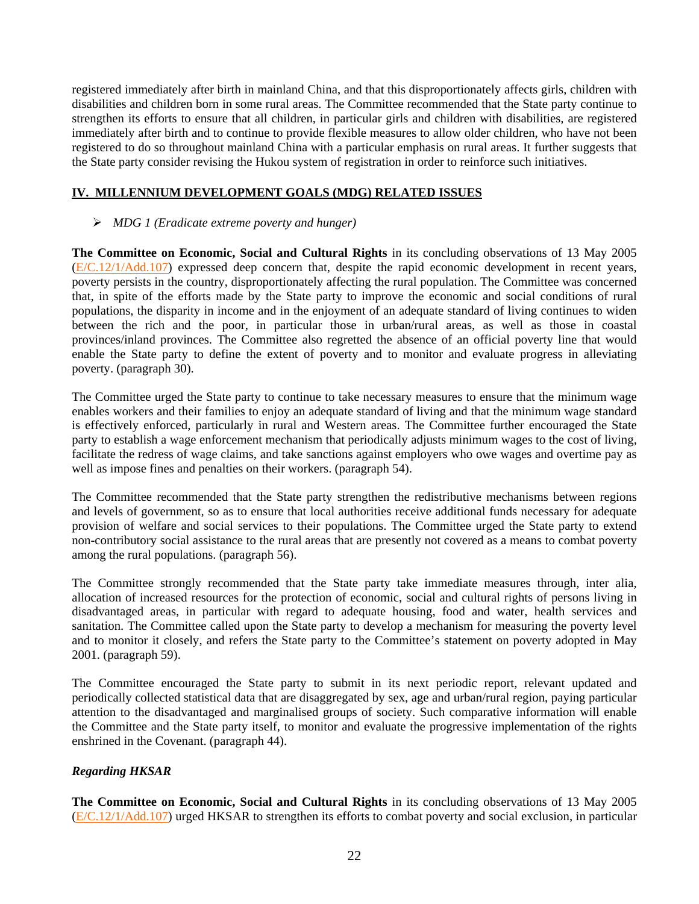registered immediately after birth in mainland China, and that this disproportionately affects girls, children with disabilities and children born in some rural areas. The Committee recommended that the State party continue to strengthen its efforts to ensure that all children, in particular girls and children with disabilities, are registered immediately after birth and to continue to provide flexible measures to allow older children, who have not been registered to do so throughout mainland China with a particular emphasis on rural areas. It further suggests that the State party consider revising the Hukou system of registration in order to reinforce such initiatives.

## **IV. MILLENNIUM DEVELOPMENT GOALS (MDG) RELATED ISSUES**

## ¾ *MDG 1 (Eradicate extreme poverty and hunger)*

**The Committee on Economic, Social and Cultural Rights** in its concluding observations of 13 May 2005 ([E/C.12/1/Add.107](http://www.unhchr.ch/tbs/doc.nsf/(Symbol)/E.C.12.1.Add.107.En?Opendocument)) expressed deep concern that, despite the rapid economic development in recent years, poverty persists in the country, disproportionately affecting the rural population. The Committee was concerned that, in spite of the efforts made by the State party to improve the economic and social conditions of rural populations, the disparity in income and in the enjoyment of an adequate standard of living continues to widen between the rich and the poor, in particular those in urban/rural areas, as well as those in coastal provinces/inland provinces. The Committee also regretted the absence of an official poverty line that would enable the State party to define the extent of poverty and to monitor and evaluate progress in alleviating poverty. (paragraph 30).

The Committee urged the State party to continue to take necessary measures to ensure that the minimum wage enables workers and their families to enjoy an adequate standard of living and that the minimum wage standard is effectively enforced, particularly in rural and Western areas. The Committee further encouraged the State party to establish a wage enforcement mechanism that periodically adjusts minimum wages to the cost of living, facilitate the redress of wage claims, and take sanctions against employers who owe wages and overtime pay as well as impose fines and penalties on their workers. (paragraph 54).

The Committee recommended that the State party strengthen the redistributive mechanisms between regions and levels of government, so as to ensure that local authorities receive additional funds necessary for adequate provision of welfare and social services to their populations. The Committee urged the State party to extend non-contributory social assistance to the rural areas that are presently not covered as a means to combat poverty among the rural populations. (paragraph 56).

The Committee strongly recommended that the State party take immediate measures through, inter alia, allocation of increased resources for the protection of economic, social and cultural rights of persons living in disadvantaged areas, in particular with regard to adequate housing, food and water, health services and sanitation. The Committee called upon the State party to develop a mechanism for measuring the poverty level and to monitor it closely, and refers the State party to the Committee's statement on poverty adopted in May 2001. (paragraph 59).

The Committee encouraged the State party to submit in its next periodic report, relevant updated and periodically collected statistical data that are disaggregated by sex, age and urban/rural region, paying particular attention to the disadvantaged and marginalised groups of society. Such comparative information will enable the Committee and the State party itself, to monitor and evaluate the progressive implementation of the rights enshrined in the Covenant. (paragraph 44).

# *Regarding HKSAR*

**The Committee on Economic, Social and Cultural Rights** in its concluding observations of 13 May 2005 ([E/C.12/1/Add.107](http://www.unhchr.ch/tbs/doc.nsf/(Symbol)/E.C.12.1.Add.107.En?Opendocument)) urged HKSAR to strengthen its efforts to combat poverty and social exclusion, in particular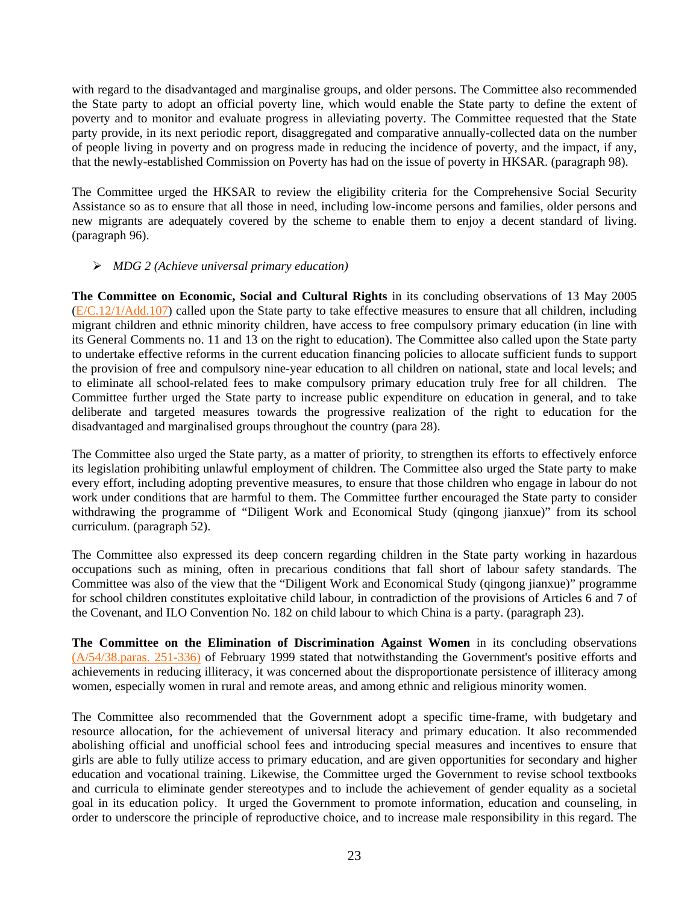with regard to the disadvantaged and marginalise groups, and older persons. The Committee also recommended the State party to adopt an official poverty line, which would enable the State party to define the extent of poverty and to monitor and evaluate progress in alleviating poverty. The Committee requested that the State party provide, in its next periodic report, disaggregated and comparative annually-collected data on the number of people living in poverty and on progress made in reducing the incidence of poverty, and the impact, if any, that the newly-established Commission on Poverty has had on the issue of poverty in HKSAR. (paragraph 98).

The Committee urged the HKSAR to review the eligibility criteria for the Comprehensive Social Security Assistance so as to ensure that all those in need, including low-income persons and families, older persons and new migrants are adequately covered by the scheme to enable them to enjoy a decent standard of living. (paragraph 96).

## ¾ *MDG 2 (Achieve universal primary education)*

**The Committee on Economic, Social and Cultural Rights** in its concluding observations of 13 May 2005  $(E/C.12/1/Add.107)$  $(E/C.12/1/Add.107)$  $(E/C.12/1/Add.107)$  called upon the State party to take effective measures to ensure that all children, including migrant children and ethnic minority children, have access to free compulsory primary education (in line with its General Comments no. 11 and 13 on the right to education). The Committee also called upon the State party to undertake effective reforms in the current education financing policies to allocate sufficient funds to support the provision of free and compulsory nine-year education to all children on national, state and local levels; and to eliminate all school-related fees to make compulsory primary education truly free for all children. The Committee further urged the State party to increase public expenditure on education in general, and to take deliberate and targeted measures towards the progressive realization of the right to education for the disadvantaged and marginalised groups throughout the country (para 28).

The Committee also urged the State party, as a matter of priority, to strengthen its efforts to effectively enforce its legislation prohibiting unlawful employment of children. The Committee also urged the State party to make every effort, including adopting preventive measures, to ensure that those children who engage in labour do not work under conditions that are harmful to them. The Committee further encouraged the State party to consider withdrawing the programme of "Diligent Work and Economical Study (qingong jianxue)" from its school curriculum. (paragraph 52).

The Committee also expressed its deep concern regarding children in the State party working in hazardous occupations such as mining, often in precarious conditions that fall short of labour safety standards. The Committee was also of the view that the "Diligent Work and Economical Study (qingong jianxue)" programme for school children constitutes exploitative child labour, in contradiction of the provisions of Articles 6 and 7 of the Covenant, and ILO Convention No. 182 on child labour to which China is a party. (paragraph 23).

**The Committee on the Elimination of Discrimination Against Women** in its concluding observations [\(A/54/38.paras. 251-336\)](http://www.unhchr.ch/tbs/doc.nsf/(Symbol)/1483ffb5a2a626a980256732003e82c8?Opendocument) of February 1999 stated that notwithstanding the Government's positive efforts and achievements in reducing illiteracy, it was concerned about the disproportionate persistence of illiteracy among women, especially women in rural and remote areas, and among ethnic and religious minority women.

The Committee also recommended that the Government adopt a specific time-frame, with budgetary and resource allocation, for the achievement of universal literacy and primary education. It also recommended abolishing official and unofficial school fees and introducing special measures and incentives to ensure that girls are able to fully utilize access to primary education, and are given opportunities for secondary and higher education and vocational training. Likewise, the Committee urged the Government to revise school textbooks and curricula to eliminate gender stereotypes and to include the achievement of gender equality as a societal goal in its education policy. It urged the Government to promote information, education and counseling, in order to underscore the principle of reproductive choice, and to increase male responsibility in this regard. The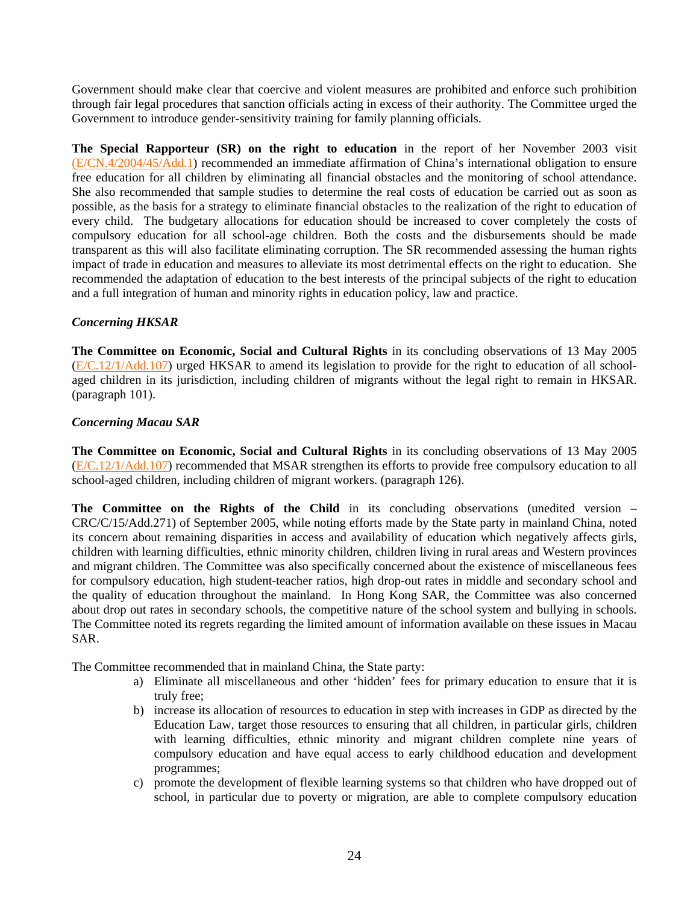Government should make clear that coercive and violent measures are prohibited and enforce such prohibition through fair legal procedures that sanction officials acting in excess of their authority. The Committee urged the Government to introduce gender-sensitivity training for family planning officials.

**The Special Rapporteur (SR) on the right to education** in the report of her November 2003 visit [\(E/CN.4/2004/45/Add.1](http://www.unhchr.ch/Huridocda/Huridoca.nsf/0/d2a0154274b5f3f3c1256dff002ff8f4/$FILE/G0317038.doc)) recommended an immediate affirmation of China's international obligation to ensure free education for all children by eliminating all financial obstacles and the monitoring of school attendance. She also recommended that sample studies to determine the real costs of education be carried out as soon as possible, as the basis for a strategy to eliminate financial obstacles to the realization of the right to education of every child. The budgetary allocations for education should be increased to cover completely the costs of compulsory education for all school-age children. Both the costs and the disbursements should be made transparent as this will also facilitate eliminating corruption. The SR recommended assessing the human rights impact of trade in education and measures to alleviate its most detrimental effects on the right to education. She recommended the adaptation of education to the best interests of the principal subjects of the right to education and a full integration of human and minority rights in education policy, law and practice.

## *Concerning HKSAR*

**The Committee on Economic, Social and Cultural Rights** in its concluding observations of 13 May 2005 ([E/C.12/1/Add.107](http://www.unhchr.ch/tbs/doc.nsf/(Symbol)/E.C.12.1.Add.107.En?Opendocument)) urged HKSAR to amend its legislation to provide for the right to education of all schoolaged children in its jurisdiction, including children of migrants without the legal right to remain in HKSAR. (paragraph 101).

## *Concerning Macau SAR*

**The Committee on Economic, Social and Cultural Rights** in its concluding observations of 13 May 2005 ([E/C.12/1/Add.107](http://www.unhchr.ch/tbs/doc.nsf/(Symbol)/E.C.12.1.Add.107.En?Opendocument)) recommended that MSAR strengthen its efforts to provide free compulsory education to all school-aged children, including children of migrant workers. (paragraph 126).

**The Committee on the Rights of the Child** in its concluding observations (unedited version – CRC/C/15/Add.271) of September 2005, while noting efforts made by the State party in mainland China, noted its concern about remaining disparities in access and availability of education which negatively affects girls, children with learning difficulties, ethnic minority children, children living in rural areas and Western provinces and migrant children. The Committee was also specifically concerned about the existence of miscellaneous fees for compulsory education, high student-teacher ratios, high drop-out rates in middle and secondary school and the quality of education throughout the mainland. In Hong Kong SAR, the Committee was also concerned about drop out rates in secondary schools, the competitive nature of the school system and bullying in schools. The Committee noted its regrets regarding the limited amount of information available on these issues in Macau SAR.

The Committee recommended that in mainland China, the State party:

- a) Eliminate all miscellaneous and other 'hidden' fees for primary education to ensure that it is truly free;
- b) increase its allocation of resources to education in step with increases in GDP as directed by the Education Law, target those resources to ensuring that all children, in particular girls, children with learning difficulties, ethnic minority and migrant children complete nine years of compulsory education and have equal access to early childhood education and development programmes;
- c) promote the development of flexible learning systems so that children who have dropped out of school, in particular due to poverty or migration, are able to complete compulsory education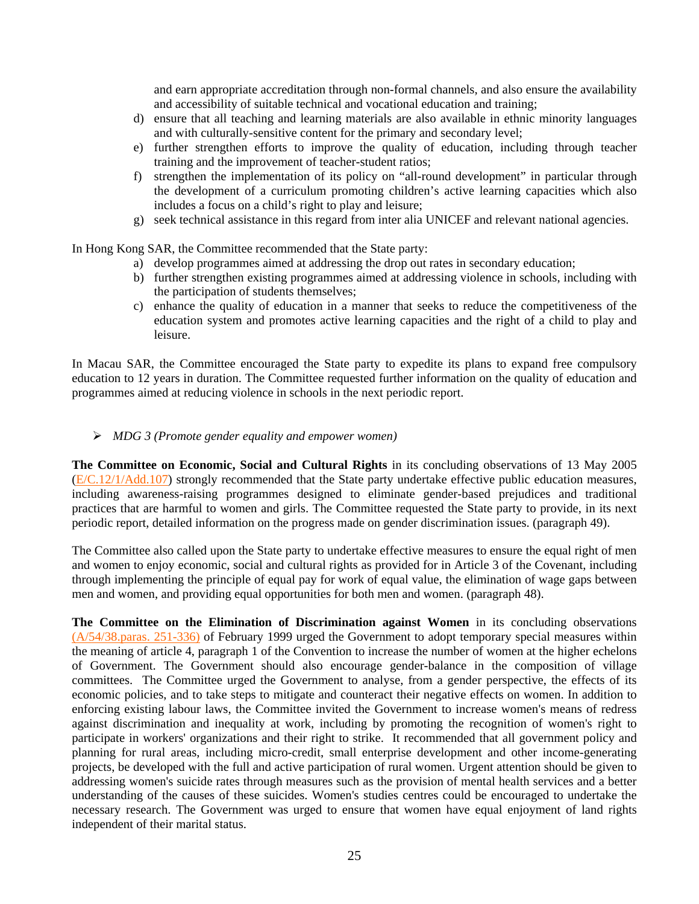and earn appropriate accreditation through non-formal channels, and also ensure the availability and accessibility of suitable technical and vocational education and training;

- d) ensure that all teaching and learning materials are also available in ethnic minority languages and with culturally-sensitive content for the primary and secondary level;
- e) further strengthen efforts to improve the quality of education, including through teacher training and the improvement of teacher-student ratios;
- f) strengthen the implementation of its policy on "all-round development" in particular through the development of a curriculum promoting children's active learning capacities which also includes a focus on a child's right to play and leisure;
- g) seek technical assistance in this regard from inter alia UNICEF and relevant national agencies.

In Hong Kong SAR, the Committee recommended that the State party:

- a) develop programmes aimed at addressing the drop out rates in secondary education;
- b) further strengthen existing programmes aimed at addressing violence in schools, including with the participation of students themselves;
- c) enhance the quality of education in a manner that seeks to reduce the competitiveness of the education system and promotes active learning capacities and the right of a child to play and leisure.

In Macau SAR, the Committee encouraged the State party to expedite its plans to expand free compulsory education to 12 years in duration. The Committee requested further information on the quality of education and programmes aimed at reducing violence in schools in the next periodic report.

¾ *MDG 3 (Promote gender equality and empower women)* 

**The Committee on Economic, Social and Cultural Rights** in its concluding observations of 13 May 2005 ([E/C.12/1/Add.107](http://www.unhchr.ch/tbs/doc.nsf/(Symbol)/E.C.12.1.Add.107.En?Opendocument)) strongly recommended that the State party undertake effective public education measures, including awareness-raising programmes designed to eliminate gender-based prejudices and traditional practices that are harmful to women and girls. The Committee requested the State party to provide, in its next periodic report, detailed information on the progress made on gender discrimination issues. (paragraph 49).

The Committee also called upon the State party to undertake effective measures to ensure the equal right of men and women to enjoy economic, social and cultural rights as provided for in Article 3 of the Covenant, including through implementing the principle of equal pay for work of equal value, the elimination of wage gaps between men and women, and providing equal opportunities for both men and women. (paragraph 48).

**The Committee on the Elimination of Discrimination against Women** in its concluding observations [\(A/54/38.paras. 251-336\)](http://www.unhchr.ch/tbs/doc.nsf/(Symbol)/1483ffb5a2a626a980256732003e82c8?Opendocument) of February 1999 urged the Government to adopt temporary special measures within the meaning of article 4, paragraph 1 of the Convention to increase the number of women at the higher echelons of Government. The Government should also encourage gender-balance in the composition of village committees. The Committee urged the Government to analyse, from a gender perspective, the effects of its economic policies, and to take steps to mitigate and counteract their negative effects on women. In addition to enforcing existing labour laws, the Committee invited the Government to increase women's means of redress against discrimination and inequality at work, including by promoting the recognition of women's right to participate in workers' organizations and their right to strike. It recommended that all government policy and planning for rural areas, including micro-credit, small enterprise development and other income-generating projects, be developed with the full and active participation of rural women. Urgent attention should be given to addressing women's suicide rates through measures such as the provision of mental health services and a better understanding of the causes of these suicides. Women's studies centres could be encouraged to undertake the necessary research. The Government was urged to ensure that women have equal enjoyment of land rights independent of their marital status.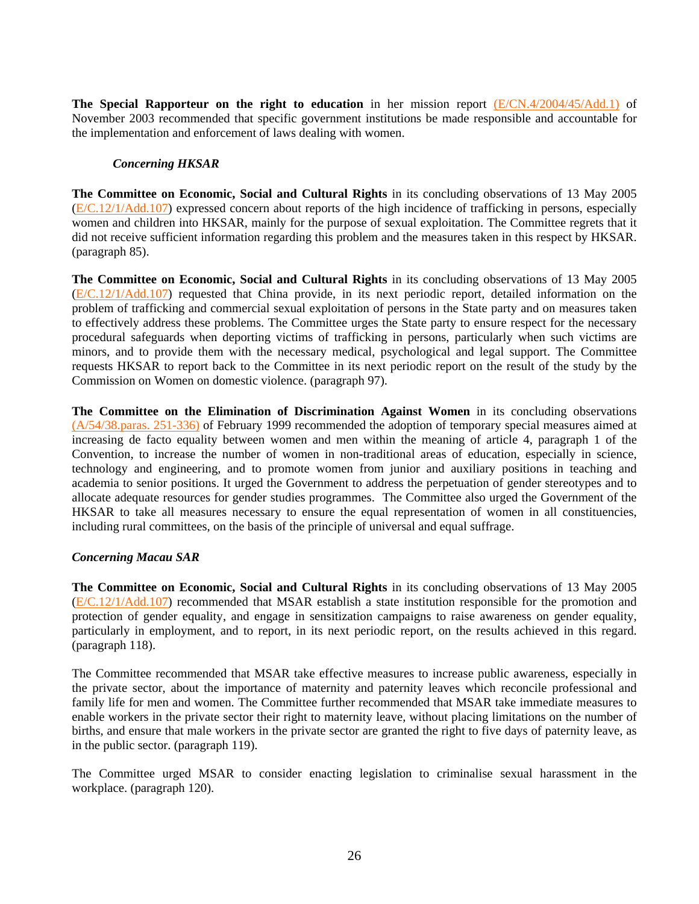**The Special Rapporteur on the right to education** in her mission report [\(E/CN.4/2004/45/Add.1\)](http://www.unhchr.ch/Huridocda/Huridoca.nsf/0/d2a0154274b5f3f3c1256dff002ff8f4/$FILE/G0317038.doc) of November 2003 recommended that specific government institutions be made responsible and accountable for the implementation and enforcement of laws dealing with women.

## *Concerning HKSAR*

**The Committee on Economic, Social and Cultural Rights** in its concluding observations of 13 May 2005 ([E/C.12/1/Add.107](http://www.unhchr.ch/tbs/doc.nsf/(Symbol)/E.C.12.1.Add.107.En?Opendocument)) expressed concern about reports of the high incidence of trafficking in persons, especially women and children into HKSAR, mainly for the purpose of sexual exploitation. The Committee regrets that it did not receive sufficient information regarding this problem and the measures taken in this respect by HKSAR. (paragraph 85).

**The Committee on Economic, Social and Cultural Rights** in its concluding observations of 13 May 2005 ([E/C.12/1/Add.107](http://www.unhchr.ch/tbs/doc.nsf/(Symbol)/E.C.12.1.Add.107.En?Opendocument)) requested that China provide, in its next periodic report, detailed information on the problem of trafficking and commercial sexual exploitation of persons in the State party and on measures taken to effectively address these problems. The Committee urges the State party to ensure respect for the necessary procedural safeguards when deporting victims of trafficking in persons, particularly when such victims are minors, and to provide them with the necessary medical, psychological and legal support. The Committee requests HKSAR to report back to the Committee in its next periodic report on the result of the study by the Commission on Women on domestic violence. (paragraph 97).

**The Committee on the Elimination of Discrimination Against Women** in its concluding observations [\(A/54/38.paras. 251-336\)](http://www.unhchr.ch/tbs/doc.nsf/(Symbol)/1483ffb5a2a626a980256732003e82c8?Opendocument) of February 1999 recommended the adoption of temporary special measures aimed at increasing de facto equality between women and men within the meaning of article 4, paragraph 1 of the Convention, to increase the number of women in non-traditional areas of education, especially in science, technology and engineering, and to promote women from junior and auxiliary positions in teaching and academia to senior positions. It urged the Government to address the perpetuation of gender stereotypes and to allocate adequate resources for gender studies programmes. The Committee also urged the Government of the HKSAR to take all measures necessary to ensure the equal representation of women in all constituencies, including rural committees, on the basis of the principle of universal and equal suffrage.

## *Concerning Macau SAR*

**The Committee on Economic, Social and Cultural Rights** in its concluding observations of 13 May 2005 ([E/C.12/1/Add.107](http://www.unhchr.ch/tbs/doc.nsf/(Symbol)/E.C.12.1.Add.107.En?Opendocument)) recommended that MSAR establish a state institution responsible for the promotion and protection of gender equality, and engage in sensitization campaigns to raise awareness on gender equality, particularly in employment, and to report, in its next periodic report, on the results achieved in this regard. (paragraph 118).

The Committee recommended that MSAR take effective measures to increase public awareness, especially in the private sector, about the importance of maternity and paternity leaves which reconcile professional and family life for men and women. The Committee further recommended that MSAR take immediate measures to enable workers in the private sector their right to maternity leave, without placing limitations on the number of births, and ensure that male workers in the private sector are granted the right to five days of paternity leave, as in the public sector. (paragraph 119).

The Committee urged MSAR to consider enacting legislation to criminalise sexual harassment in the workplace. (paragraph 120).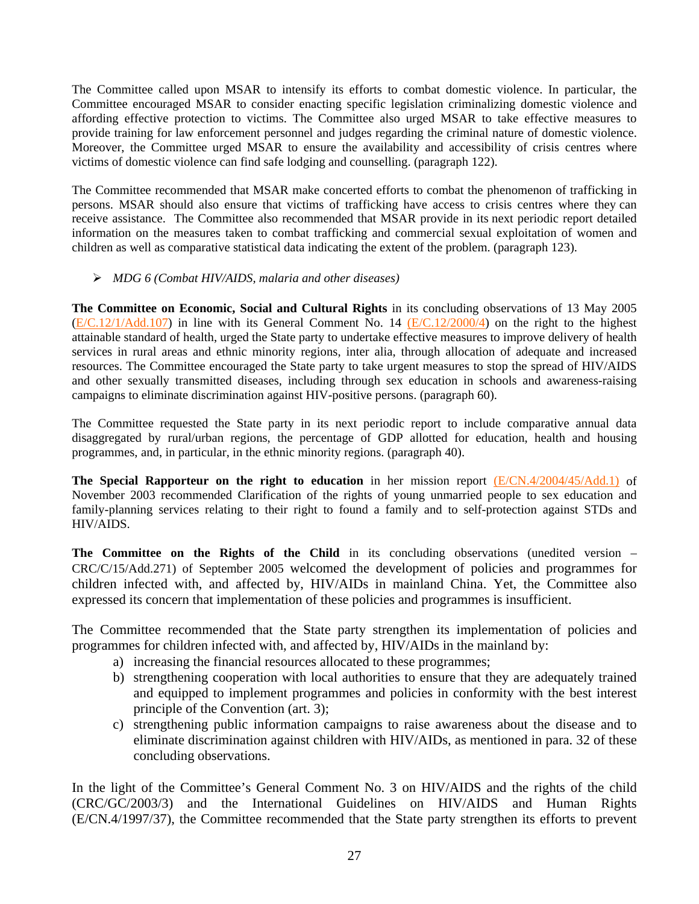The Committee called upon MSAR to intensify its efforts to combat domestic violence. In particular, the Committee encouraged MSAR to consider enacting specific legislation criminalizing domestic violence and affording effective protection to victims. The Committee also urged MSAR to take effective measures to provide training for law enforcement personnel and judges regarding the criminal nature of domestic violence. Moreover, the Committee urged MSAR to ensure the availability and accessibility of crisis centres where victims of domestic violence can find safe lodging and counselling. (paragraph 122).

The Committee recommended that MSAR make concerted efforts to combat the phenomenon of trafficking in persons. MSAR should also ensure that victims of trafficking have access to crisis centres where they can receive assistance. The Committee also recommended that MSAR provide in its next periodic report detailed information on the measures taken to combat trafficking and commercial sexual exploitation of women and children as well as comparative statistical data indicating the extent of the problem. (paragraph 123).

# ¾ *MDG 6 (Combat HIV/AIDS, malaria and other diseases)*

**The Committee on Economic, Social and Cultural Rights** in its concluding observations of 13 May 2005 ([E/C.12/1/Add.107](http://www.unhchr.ch/tbs/doc.nsf/(Symbol)/E.C.12.1.Add.107.En?Opendocument)) in line with its General Comment No. 14 [\(E/C.12/2000/4](http://www.unhchr.ch/tbs/doc.nsf/(Symbol)/40d009901358b0e2c1256915005090be?Opendocument)) on the right to the highest attainable standard of health, urged the State party to undertake effective measures to improve delivery of health services in rural areas and ethnic minority regions, inter alia, through allocation of adequate and increased resources. The Committee encouraged the State party to take urgent measures to stop the spread of HIV/AIDS and other sexually transmitted diseases, including through sex education in schools and awareness-raising campaigns to eliminate discrimination against HIV-positive persons. (paragraph 60).

The Committee requested the State party in its next periodic report to include comparative annual data disaggregated by rural/urban regions, the percentage of GDP allotted for education, health and housing programmes, and, in particular, in the ethnic minority regions. (paragraph 40).

**The Special Rapporteur on the right to education** in her mission report [\(E/CN.4/2004/45/Add.1\)](http://www.unhchr.ch/Huridocda/Huridoca.nsf/0/d2a0154274b5f3f3c1256dff002ff8f4/$FILE/G0317038.doc) of November 2003 recommended Clarification of the rights of young unmarried people to sex education and family-planning services relating to their right to found a family and to self-protection against STDs and HIV/AIDS.

The Committee on the Rights of the Child in its concluding observations (unedited version – CRC/C/15/Add.271) of September 2005 welcomed the development of policies and programmes for children infected with, and affected by, HIV/AIDs in mainland China. Yet, the Committee also expressed its concern that implementation of these policies and programmes is insufficient.

The Committee recommended that the State party strengthen its implementation of policies and programmes for children infected with, and affected by, HIV/AIDs in the mainland by:

- a) increasing the financial resources allocated to these programmes;
- b) strengthening cooperation with local authorities to ensure that they are adequately trained and equipped to implement programmes and policies in conformity with the best interest principle of the Convention (art. 3);
- c) strengthening public information campaigns to raise awareness about the disease and to eliminate discrimination against children with HIV/AIDs, as mentioned in para. 32 of these concluding observations.

In the light of the Committee's General Comment No. 3 on HIV/AIDS and the rights of the child (CRC/GC/2003/3) and the International Guidelines on HIV/AIDS and Human Rights (E/CN.4/1997/37), the Committee recommended that the State party strengthen its efforts to prevent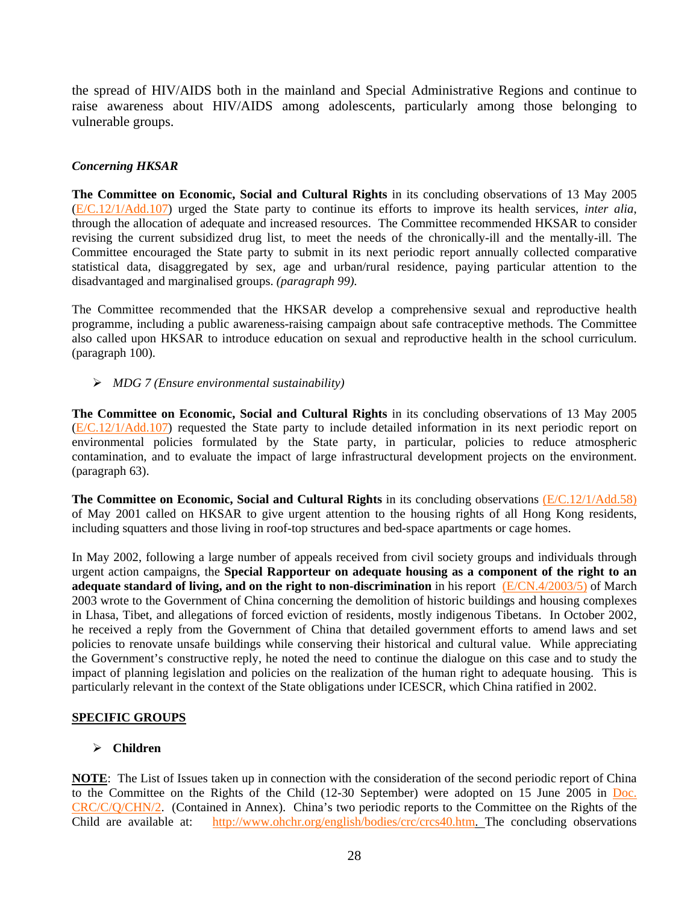the spread of HIV/AIDS both in the mainland and Special Administrative Regions and continue to raise awareness about HIV/AIDS among adolescents, particularly among those belonging to vulnerable groups.

# *Concerning HKSAR*

**The Committee on Economic, Social and Cultural Rights** in its concluding observations of 13 May 2005 ([E/C.12/1/Add.107](http://www.unhchr.ch/tbs/doc.nsf/(Symbol)/E.C.12.1.Add.107.En?Opendocument)) urged the State party to continue its efforts to improve its health services, *inter alia*, through the allocation of adequate and increased resources. The Committee recommended HKSAR to consider revising the current subsidized drug list, to meet the needs of the chronically-ill and the mentally-ill. The Committee encouraged the State party to submit in its next periodic report annually collected comparative statistical data, disaggregated by sex, age and urban/rural residence, paying particular attention to the disadvantaged and marginalised groups. *(paragraph 99).*

The Committee recommended that the HKSAR develop a comprehensive sexual and reproductive health programme, including a public awareness-raising campaign about safe contraceptive methods. The Committee also called upon HKSAR to introduce education on sexual and reproductive health in the school curriculum. (paragraph 100).

## ¾ *MDG 7 (Ensure environmental sustainability)*

**The Committee on Economic, Social and Cultural Rights** in its concluding observations of 13 May 2005 ([E/C.12/1/Add.107](http://www.unhchr.ch/tbs/doc.nsf/(Symbol)/E.C.12.1.Add.107.En?Opendocument)) requested the State party to include detailed information in its next periodic report on environmental policies formulated by the State party, in particular, policies to reduce atmospheric contamination, and to evaluate the impact of large infrastructural development projects on the environment. (paragraph 63).

**The Committee on Economic, Social and Cultural Rights** in its concluding observations [\(E/C.12/1/Add.58\)](http://www.unhchr.ch/tbs/doc.nsf/(Symbol)/1f67bd3f2a811fddc1256a4c002ed71a?Opendocument) of May 2001 called on HKSAR to give urgent attention to the housing rights of all Hong Kong residents, including squatters and those living in roof-top structures and bed-space apartments or cage homes.

In May 2002, following a large number of appeals received from civil society groups and individuals through urgent action campaigns, the **Special Rapporteur on adequate housing as a component of the right to an adequate standard of living, and on the right to non-discrimination** in his report [\(E/CN.4/2003/5\)](http://www.unhchr.ch/Huridocda/Huridoca.nsf/0/a33f08e29d0dce39c1256d3c0052b725/$FILE/G0311362.doc) of March 2003 wrote to the Government of China concerning the demolition of historic buildings and housing complexes in Lhasa, Tibet, and allegations of forced eviction of residents, mostly indigenous Tibetans. In October 2002, he received a reply from the Government of China that detailed government efforts to amend laws and set policies to renovate unsafe buildings while conserving their historical and cultural value. While appreciating the Government's constructive reply, he noted the need to continue the dialogue on this case and to study the impact of planning legislation and policies on the realization of the human right to adequate housing. This is particularly relevant in the context of the State obligations under ICESCR, which China ratified in 2002.

## **SPECIFIC GROUPS**

# ¾ **Children**

**NOTE**: The List of Issues taken up in connection with the consideration of the second periodic report of China to the Committee on the Rights of the Child (12-30 September) were adopted on 15 June 2005 in [Doc.](http://www.unhchr.ch/tbs/doc.nsf/(Symbol)/CRC.C.Q.CHN.2.En?OpenDocument)  [CRC/C/Q/CHN/2](http://www.unhchr.ch/tbs/doc.nsf/(Symbol)/CRC.C.Q.CHN.2.En?OpenDocument). (Contained in Annex). China's two periodic reports to the Committee on the Rights of the Child are available at: <http://www.ohchr.org/english/bodies/crc/crcs40.htm>. The concluding observations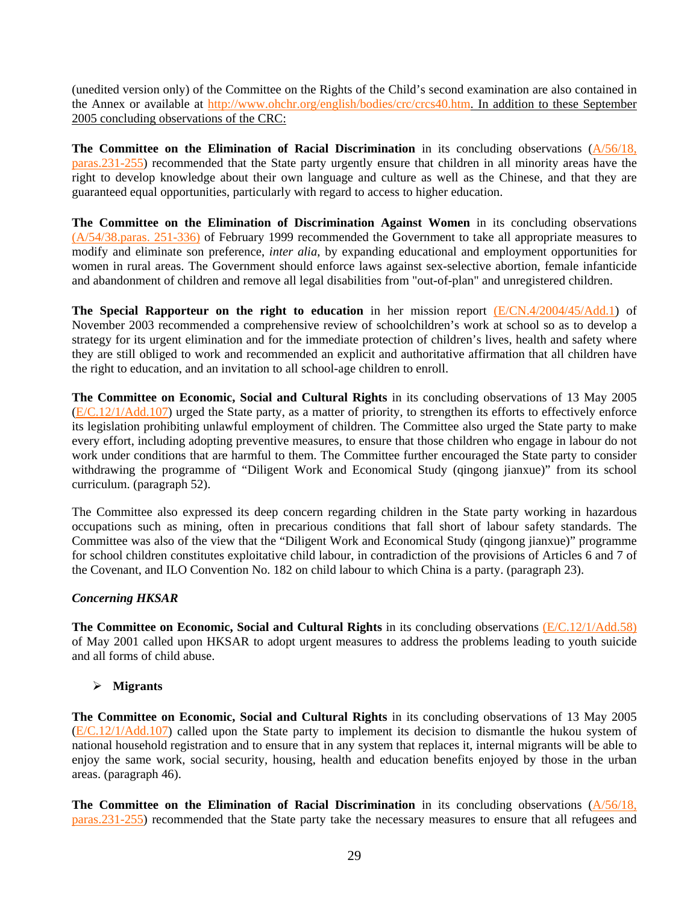(unedited version only) of the Committee on the Rights of the Child's second examination are also contained in the Annex or available at <http://www.ohchr.org/english/bodies/crc/crcs40.htm>. In addition to these September 2005 concluding observations of the CRC:

**The Committee on the Elimination of Racial Discrimination** in its concluding observations [\(A/56/18,](http://www.unhchr.ch/tbs/doc.nsf/(Symbol)/fa1da2eee4d51bdfc1256aa4002c7afb?Opendocument)  [paras.231-255\)](http://www.unhchr.ch/tbs/doc.nsf/(Symbol)/fa1da2eee4d51bdfc1256aa4002c7afb?Opendocument) recommended that the State party urgently ensure that children in all minority areas have the right to develop knowledge about their own language and culture as well as the Chinese, and that they are guaranteed equal opportunities, particularly with regard to access to higher education.

**The Committee on the Elimination of Discrimination Against Women** in its concluding observations [\(A/54/38.paras. 251-336\)](http://www.unhchr.ch/tbs/doc.nsf/(Symbol)/1483ffb5a2a626a980256732003e82c8?Opendocument) of February 1999 recommended the Government to take all appropriate measures to modify and eliminate son preference, *inter alia*, by expanding educational and employment opportunities for women in rural areas. The Government should enforce laws against sex-selective abortion, female infanticide and abandonment of children and remove all legal disabilities from "out-of-plan" and unregistered children.

**The Special Rapporteur on the right to education** in her mission report [\(E/CN.4/2004/45/Add.1\)](http://www.unhchr.ch/Huridocda/Huridoca.nsf/0/d2a0154274b5f3f3c1256dff002ff8f4/$FILE/G0317038.doc) of November 2003 recommended a comprehensive review of schoolchildren's work at school so as to develop a strategy for its urgent elimination and for the immediate protection of children's lives, health and safety where they are still obliged to work and recommended an explicit and authoritative affirmation that all children have the right to education, and an invitation to all school-age children to enroll.

**The Committee on Economic, Social and Cultural Rights** in its concluding observations of 13 May 2005 ([E/C.12/1/Add.107](http://www.unhchr.ch/tbs/doc.nsf/(Symbol)/E.C.12.1.Add.107.En?Opendocument)) urged the State party, as a matter of priority, to strengthen its efforts to effectively enforce its legislation prohibiting unlawful employment of children. The Committee also urged the State party to make every effort, including adopting preventive measures, to ensure that those children who engage in labour do not work under conditions that are harmful to them. The Committee further encouraged the State party to consider withdrawing the programme of "Diligent Work and Economical Study (qingong jianxue)" from its school curriculum. (paragraph 52).

The Committee also expressed its deep concern regarding children in the State party working in hazardous occupations such as mining, often in precarious conditions that fall short of labour safety standards. The Committee was also of the view that the "Diligent Work and Economical Study (qingong jianxue)" programme for school children constitutes exploitative child labour, in contradiction of the provisions of Articles 6 and 7 of the Covenant, and ILO Convention No. 182 on child labour to which China is a party. (paragraph 23).

## *Concerning HKSAR*

**The Committee on Economic, Social and Cultural Rights** in its concluding observations [\(E/C.12/1/Add.58\)](http://www.unhchr.ch/tbs/doc.nsf/(Symbol)/1f67bd3f2a811fddc1256a4c002ed71a?Opendocument) of May 2001 called upon HKSAR to adopt urgent measures to address the problems leading to youth suicide and all forms of child abuse.

# ¾ **Migrants**

**The Committee on Economic, Social and Cultural Rights** in its concluding observations of 13 May 2005 ([E/C.12/1/Add.107](http://www.unhchr.ch/tbs/doc.nsf/(Symbol)/E.C.12.1.Add.107.En?Opendocument)) called upon the State party to implement its decision to dismantle the hukou system of national household registration and to ensure that in any system that replaces it, internal migrants will be able to enjoy the same work, social security, housing, health and education benefits enjoyed by those in the urban areas. (paragraph 46).

**The Committee on the Elimination of Racial Discrimination** in its concluding observations [\(A/56/18,](http://www.unhchr.ch/tbs/doc.nsf/(Symbol)/fa1da2eee4d51bdfc1256aa4002c7afb?Opendocument)  [paras.231-255\)](http://www.unhchr.ch/tbs/doc.nsf/(Symbol)/fa1da2eee4d51bdfc1256aa4002c7afb?Opendocument) recommended that the State party take the necessary measures to ensure that all refugees and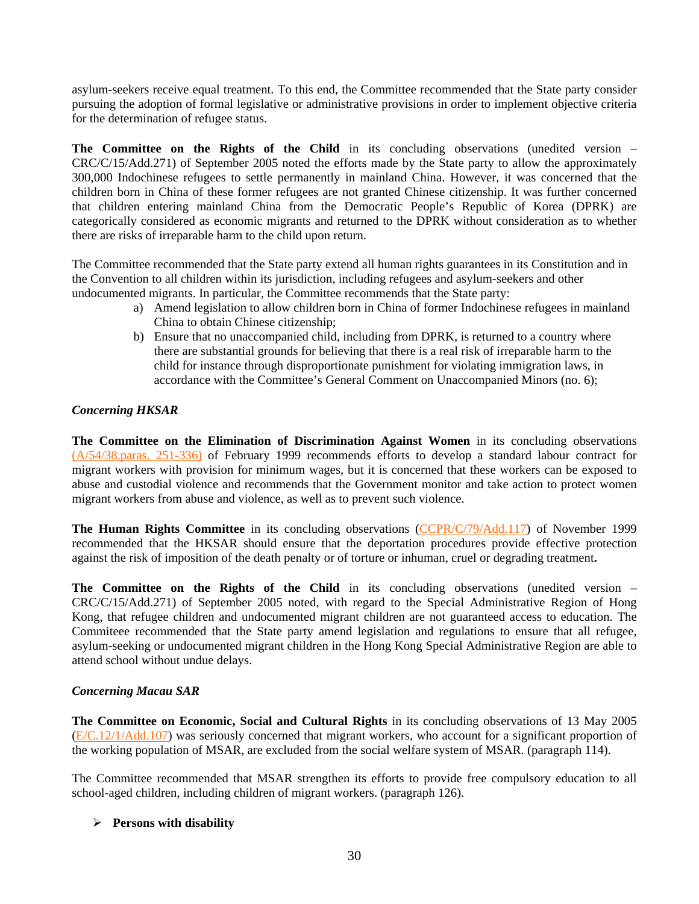asylum-seekers receive equal treatment. To this end, the Committee recommended that the State party consider pursuing the adoption of formal legislative or administrative provisions in order to implement objective criteria for the determination of refugee status.

**The Committee on the Rights of the Child** in its concluding observations (unedited version – CRC/C/15/Add.271) of September 2005 noted the efforts made by the State party to allow the approximately 300,000 Indochinese refugees to settle permanently in mainland China. However, it was concerned that the children born in China of these former refugees are not granted Chinese citizenship. It was further concerned that children entering mainland China from the Democratic People's Republic of Korea (DPRK) are categorically considered as economic migrants and returned to the DPRK without consideration as to whether there are risks of irreparable harm to the child upon return.

The Committee recommended that the State party extend all human rights guarantees in its Constitution and in the Convention to all children within its jurisdiction, including refugees and asylum-seekers and other undocumented migrants. In particular, the Committee recommends that the State party:

- a) Amend legislation to allow children born in China of former Indochinese refugees in mainland China to obtain Chinese citizenship;
- b) Ensure that no unaccompanied child, including from DPRK, is returned to a country where there are substantial grounds for believing that there is a real risk of irreparable harm to the child for instance through disproportionate punishment for violating immigration laws, in accordance with the Committee's General Comment on Unaccompanied Minors (no. 6);

# *Concerning HKSAR*

**The Committee on the Elimination of Discrimination Against Women** in its concluding observations [\(A/54/38.paras. 251-336\)](http://www.unhchr.ch/tbs/doc.nsf/(Symbol)/1483ffb5a2a626a980256732003e82c8?Opendocument) of February 1999 recommends efforts to develop a standard labour contract for migrant workers with provision for minimum wages, but it is concerned that these workers can be exposed to abuse and custodial violence and recommends that the Government monitor and take action to protect women migrant workers from abuse and violence, as well as to prevent such violence.

**The Human Rights Committee** in its concluding observations ([CCPR/C/79/Add.117](http://www.unhchr.ch/tbs/doc.nsf/(Symbol)/d3f40053e45c17fd80256820005cfdf6?Opendocument)) of November 1999 recommended that the HKSAR should ensure that the deportation procedures provide effective protection against the risk of imposition of the death penalty or of torture or inhuman, cruel or degrading treatment**.** 

**The Committee on the Rights of the Child** in its concluding observations (unedited version – CRC/C/15/Add.271) of September 2005 noted, with regard to the Special Administrative Region of Hong Kong, that refugee children and undocumented migrant children are not guaranteed access to education. The Commiteee recommended that the State party amend legislation and regulations to ensure that all refugee, asylum-seeking or undocumented migrant children in the Hong Kong Special Administrative Region are able to attend school without undue delays.

## *Concerning Macau SAR*

**The Committee on Economic, Social and Cultural Rights** in its concluding observations of 13 May 2005 ([E/C.12/1/Add.107](http://www.unhchr.ch/tbs/doc.nsf/(Symbol)/E.C.12.1.Add.107.En?Opendocument)) was seriously concerned that migrant workers, who account for a significant proportion of the working population of MSAR, are excluded from the social welfare system of MSAR. (paragraph 114).

The Committee recommended that MSAR strengthen its efforts to provide free compulsory education to all school-aged children, including children of migrant workers. (paragraph 126).

## ¾ **Persons with disability**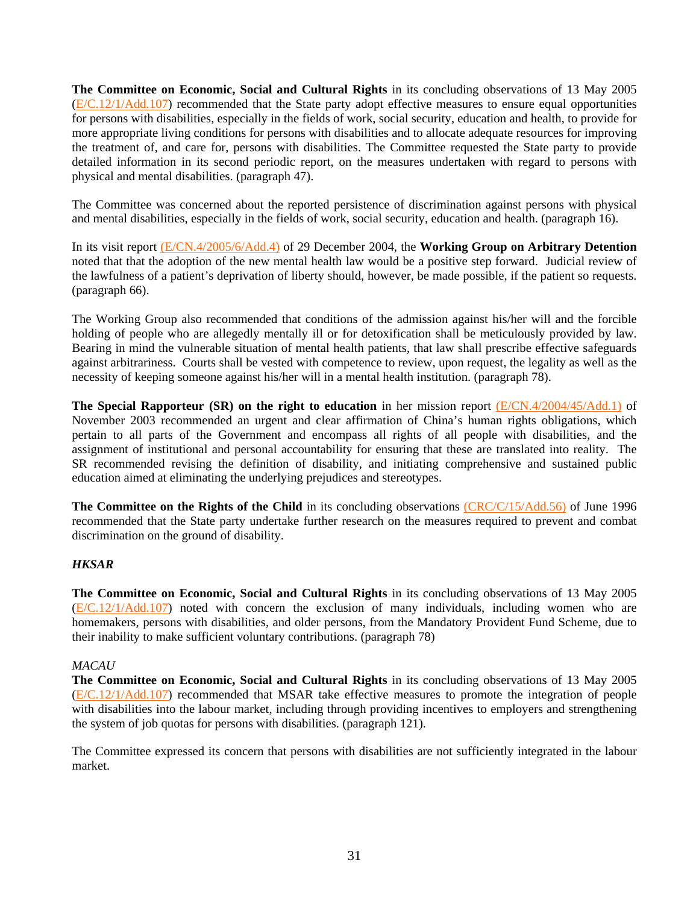**The Committee on Economic, Social and Cultural Rights** in its concluding observations of 13 May 2005 ([E/C.12/1/Add.107](http://www.unhchr.ch/tbs/doc.nsf/(Symbol)/E.C.12.1.Add.107.En?Opendocument)) recommended that the State party adopt effective measures to ensure equal opportunities for persons with disabilities, especially in the fields of work, social security, education and health, to provide for more appropriate living conditions for persons with disabilities and to allocate adequate resources for improving the treatment of, and care for, persons with disabilities. The Committee requested the State party to provide detailed information in its second periodic report, on the measures undertaken with regard to persons with physical and mental disabilities. (paragraph 47).

The Committee was concerned about the reported persistence of discrimination against persons with physical and mental disabilities, especially in the fields of work, social security, education and health. (paragraph 16).

In its visit report [\(E/CN.4/2005/6/Add.4\)](http://daccessdds.un.org/doc/UNDOC/GEN/G05/102/74/PDF/G0510274.pdf?OpenElement) of 29 December 2004, the **Working Group on Arbitrary Detention** noted that that the adoption of the new mental health law would be a positive step forward. Judicial review of the lawfulness of a patient's deprivation of liberty should, however, be made possible, if the patient so requests. (paragraph 66).

The Working Group also recommended that conditions of the admission against his/her will and the forcible holding of people who are allegedly mentally ill or for detoxification shall be meticulously provided by law. Bearing in mind the vulnerable situation of mental health patients, that law shall prescribe effective safeguards against arbitrariness. Courts shall be vested with competence to review, upon request, the legality as well as the necessity of keeping someone against his/her will in a mental health institution. (paragraph 78).

**The Special Rapporteur (SR) on the right to education** in her mission report [\(E/CN.4/2004/45/Add.1\)](http://www.unhchr.ch/Huridocda/Huridoca.nsf/0/d2a0154274b5f3f3c1256dff002ff8f4/$FILE/G0317038.doc) of November 2003 recommended an urgent and clear affirmation of China's human rights obligations, which pertain to all parts of the Government and encompass all rights of all people with disabilities, and the assignment of institutional and personal accountability for ensuring that these are translated into reality. The SR recommended revising the definition of disability, and initiating comprehensive and sustained public education aimed at eliminating the underlying prejudices and stereotypes.

**The Committee on the Rights of the Child** in its concluding observations [\(CRC/C/15/Add.56\)](http://www.unhchr.ch/tbs/doc.nsf/(Symbol)/d26a86d517d48050c125636300424a98?Opendocument) of June 1996 recommended that the State party undertake further research on the measures required to prevent and combat discrimination on the ground of disability.

## *HKSAR*

**The Committee on Economic, Social and Cultural Rights** in its concluding observations of 13 May 2005 ([E/C.12/1/Add.107](http://www.unhchr.ch/tbs/doc.nsf/(Symbol)/E.C.12.1.Add.107.En?Opendocument)) noted with concern the exclusion of many individuals, including women who are homemakers, persons with disabilities, and older persons, from the Mandatory Provident Fund Scheme, due to their inability to make sufficient voluntary contributions. (paragraph 78)

## *MACAU*

**The Committee on Economic, Social and Cultural Rights** in its concluding observations of 13 May 2005 ([E/C.12/1/Add.107](http://www.unhchr.ch/tbs/doc.nsf/(Symbol)/E.C.12.1.Add.107.En?Opendocument)) recommended that MSAR take effective measures to promote the integration of people with disabilities into the labour market, including through providing incentives to employers and strengthening the system of job quotas for persons with disabilities. (paragraph 121).

The Committee expressed its concern that persons with disabilities are not sufficiently integrated in the labour market.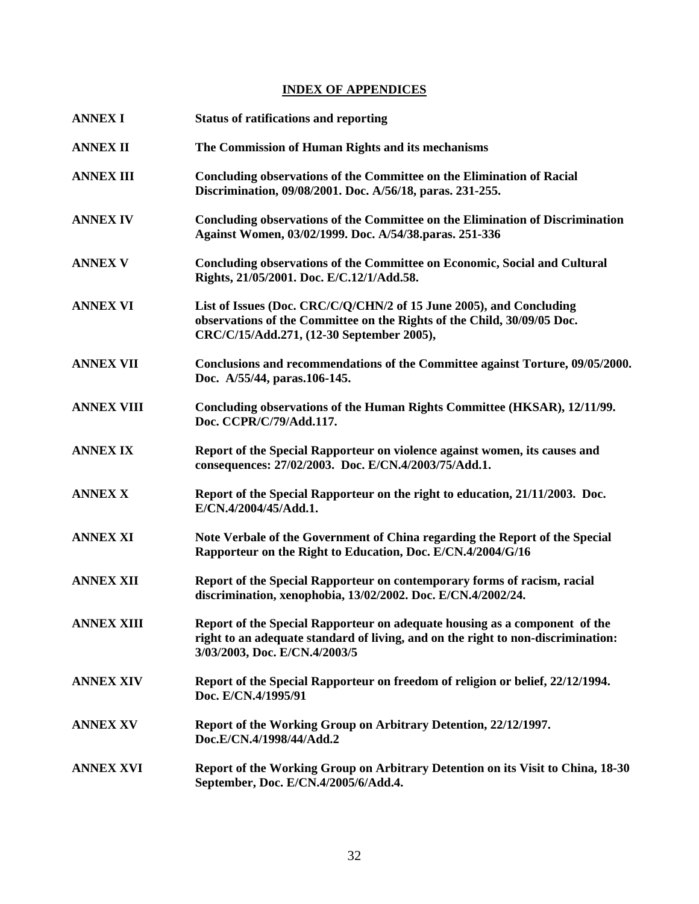# **INDEX OF APPENDICES**

| <b>ANNEX I</b>    | <b>Status of ratifications and reporting</b>                                                                                                                                                    |
|-------------------|-------------------------------------------------------------------------------------------------------------------------------------------------------------------------------------------------|
| <b>ANNEX II</b>   | The Commission of Human Rights and its mechanisms                                                                                                                                               |
| <b>ANNEX III</b>  | Concluding observations of the Committee on the Elimination of Racial<br>Discrimination, 09/08/2001. Doc. A/56/18, paras. 231-255.                                                              |
| <b>ANNEX IV</b>   | <b>Concluding observations of the Committee on the Elimination of Discrimination</b><br>Against Women, 03/02/1999. Doc. A/54/38.paras. 251-336                                                  |
| <b>ANNEX V</b>    | Concluding observations of the Committee on Economic, Social and Cultural<br>Rights, 21/05/2001. Doc. E/C.12/1/Add.58.                                                                          |
| <b>ANNEX VI</b>   | List of Issues (Doc. CRC/C/Q/CHN/2 of 15 June 2005), and Concluding<br>observations of the Committee on the Rights of the Child, 30/09/05 Doc.<br>CRC/C/15/Add.271, (12-30 September 2005),     |
| <b>ANNEX VII</b>  | Conclusions and recommendations of the Committee against Torture, 09/05/2000.<br>Doc. A/55/44, paras.106-145.                                                                                   |
| <b>ANNEX VIII</b> | Concluding observations of the Human Rights Committee (HKSAR), 12/11/99.<br>Doc. CCPR/C/79/Add.117.                                                                                             |
| <b>ANNEX IX</b>   | Report of the Special Rapporteur on violence against women, its causes and<br>consequences: 27/02/2003. Doc. E/CN.4/2003/75/Add.1.                                                              |
| <b>ANNEX X</b>    | Report of the Special Rapporteur on the right to education, 21/11/2003. Doc.<br>E/CN.4/2004/45/Add.1.                                                                                           |
| <b>ANNEX XI</b>   | Note Verbale of the Government of China regarding the Report of the Special<br>Rapporteur on the Right to Education, Doc. E/CN.4/2004/G/16                                                      |
| <b>ANNEX XII</b>  | Report of the Special Rapporteur on contemporary forms of racism, racial<br>discrimination, xenophobia, 13/02/2002. Doc. E/CN.4/2002/24.                                                        |
| <b>ANNEX XIII</b> | Report of the Special Rapporteur on adequate housing as a component of the<br>right to an adequate standard of living, and on the right to non-discrimination:<br>3/03/2003, Doc. E/CN.4/2003/5 |
| <b>ANNEX XIV</b>  | Report of the Special Rapporteur on freedom of religion or belief, 22/12/1994.<br>Doc. E/CN.4/1995/91                                                                                           |
| <b>ANNEX XV</b>   | Report of the Working Group on Arbitrary Detention, 22/12/1997.<br>Doc.E/CN.4/1998/44/Add.2                                                                                                     |
| <b>ANNEX XVI</b>  | Report of the Working Group on Arbitrary Detention on its Visit to China, 18-30<br>September, Doc. E/CN.4/2005/6/Add.4.                                                                         |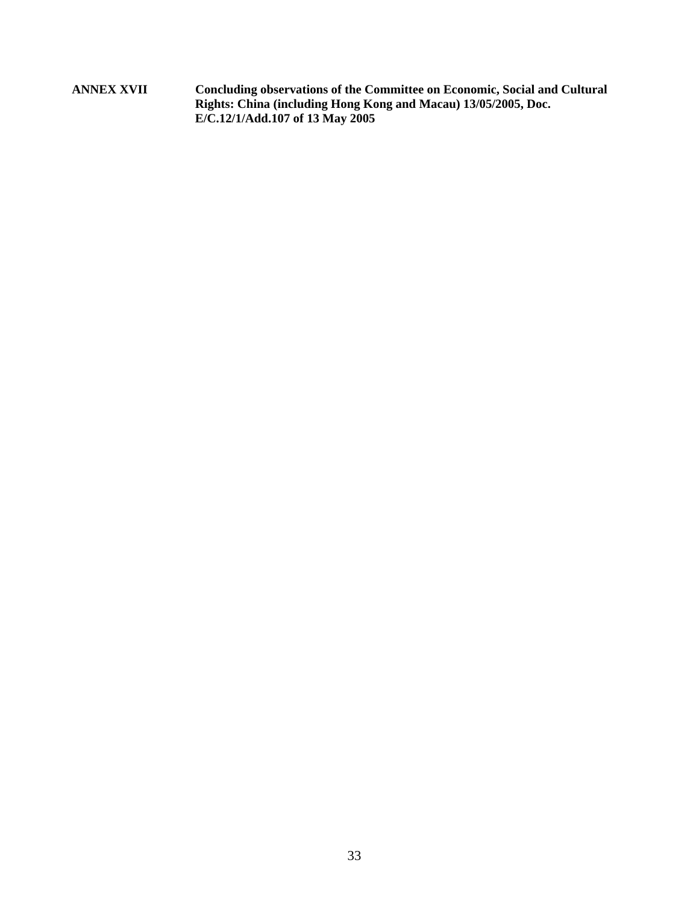**ANNEX XVII Concluding observations of the Committee on Economic, Social and Cultural Rights: China (including Hong Kong and Macau) 13/05/2005, Doc. E/C.12/1/Add.107 of 13 May 2005**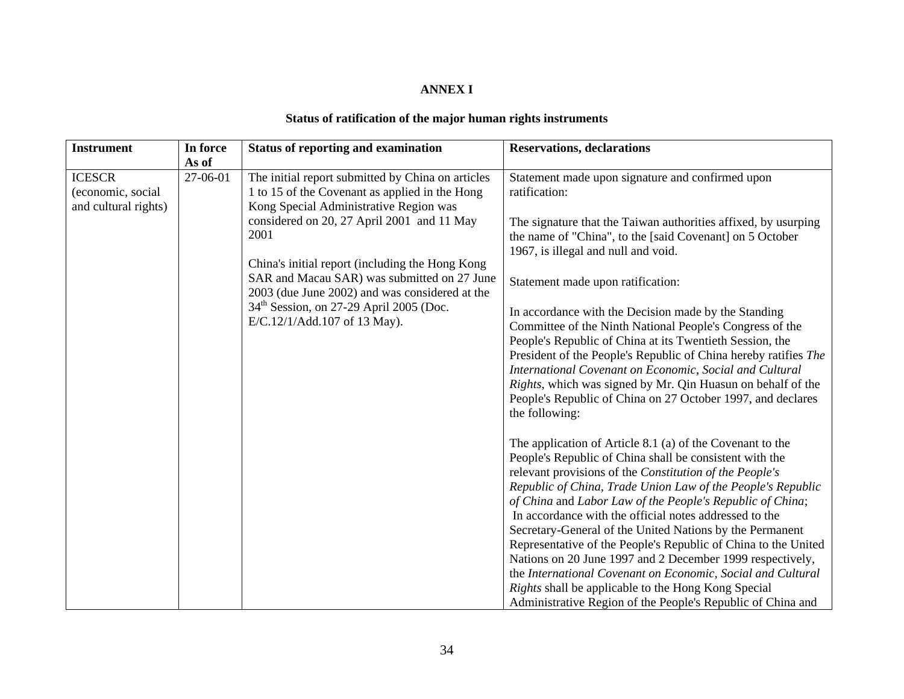## **ANNEX I**

# **Status of ratification of the major human rights instruments**

| <b>Instrument</b>                                          | In force | <b>Status of reporting and examination</b>                                                                                                                                                                                                                                                                                                                                                                                           | <b>Reservations, declarations</b>                                                                                                                                                                                                                                                                                                                                                                                                                                                                                                                                                                                                                                                                                                                     |
|------------------------------------------------------------|----------|--------------------------------------------------------------------------------------------------------------------------------------------------------------------------------------------------------------------------------------------------------------------------------------------------------------------------------------------------------------------------------------------------------------------------------------|-------------------------------------------------------------------------------------------------------------------------------------------------------------------------------------------------------------------------------------------------------------------------------------------------------------------------------------------------------------------------------------------------------------------------------------------------------------------------------------------------------------------------------------------------------------------------------------------------------------------------------------------------------------------------------------------------------------------------------------------------------|
|                                                            | As of    |                                                                                                                                                                                                                                                                                                                                                                                                                                      |                                                                                                                                                                                                                                                                                                                                                                                                                                                                                                                                                                                                                                                                                                                                                       |
| <b>ICESCR</b><br>(economic, social<br>and cultural rights) | 27-06-01 | The initial report submitted by China on articles<br>1 to 15 of the Covenant as applied in the Hong<br>Kong Special Administrative Region was<br>considered on 20, 27 April 2001 and 11 May<br>2001<br>China's initial report (including the Hong Kong<br>SAR and Macau SAR) was submitted on 27 June<br>2003 (due June 2002) and was considered at the<br>$34th$ Session, on 27-29 April 2005 (Doc.<br>E/C.12/1/Add.107 of 13 May). | Statement made upon signature and confirmed upon<br>ratification:<br>The signature that the Taiwan authorities affixed, by usurping<br>the name of "China", to the [said Covenant] on 5 October<br>1967, is illegal and null and void.<br>Statement made upon ratification:<br>In accordance with the Decision made by the Standing<br>Committee of the Ninth National People's Congress of the<br>People's Republic of China at its Twentieth Session, the<br>President of the People's Republic of China hereby ratifies The<br>International Covenant on Economic, Social and Cultural<br><i>Rights</i> , which was signed by Mr. Qin Huasun on behalf of the<br>People's Republic of China on 27 October 1997, and declares<br>the following:     |
|                                                            |          |                                                                                                                                                                                                                                                                                                                                                                                                                                      | The application of Article 8.1 (a) of the Covenant to the<br>People's Republic of China shall be consistent with the<br>relevant provisions of the Constitution of the People's<br>Republic of China, Trade Union Law of the People's Republic<br>of China and Labor Law of the People's Republic of China;<br>In accordance with the official notes addressed to the<br>Secretary-General of the United Nations by the Permanent<br>Representative of the People's Republic of China to the United<br>Nations on 20 June 1997 and 2 December 1999 respectively,<br>the International Covenant on Economic, Social and Cultural<br>Rights shall be applicable to the Hong Kong Special<br>Administrative Region of the People's Republic of China and |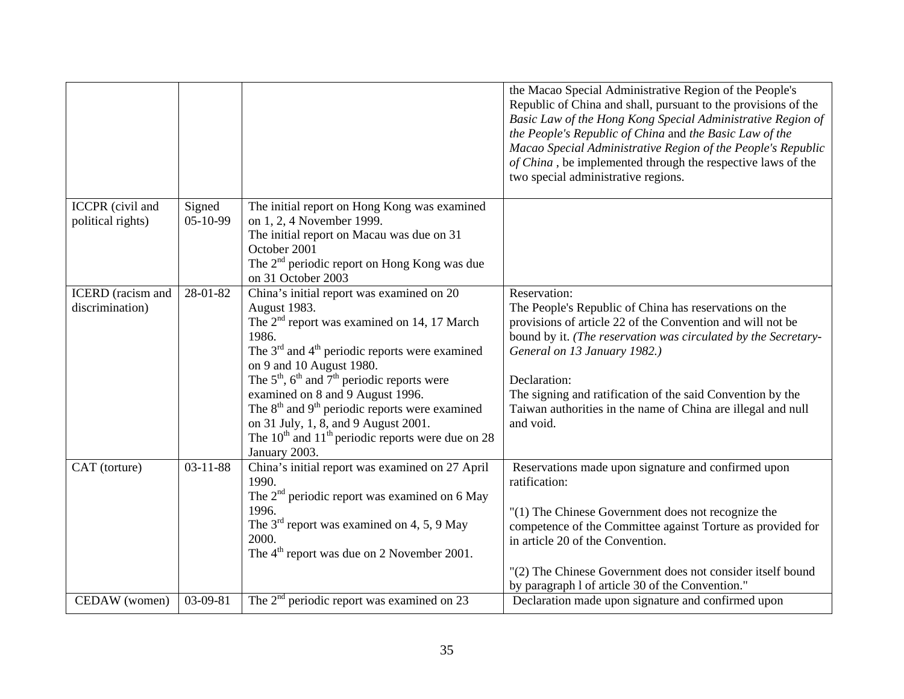|                                              |                      |                                                                                                                                                                                                                                                                                                                                                                                                                                                                                                            | the Macao Special Administrative Region of the People's<br>Republic of China and shall, pursuant to the provisions of the<br>Basic Law of the Hong Kong Special Administrative Region of<br>the People's Republic of China and the Basic Law of the<br>Macao Special Administrative Region of the People's Republic<br>of China, be implemented through the respective laws of the<br>two special administrative regions. |
|----------------------------------------------|----------------------|------------------------------------------------------------------------------------------------------------------------------------------------------------------------------------------------------------------------------------------------------------------------------------------------------------------------------------------------------------------------------------------------------------------------------------------------------------------------------------------------------------|---------------------------------------------------------------------------------------------------------------------------------------------------------------------------------------------------------------------------------------------------------------------------------------------------------------------------------------------------------------------------------------------------------------------------|
| <b>ICCPR</b> (civil and<br>political rights) | Signed<br>$05-10-99$ | The initial report on Hong Kong was examined<br>on 1, 2, 4 November 1999.<br>The initial report on Macau was due on 31<br>October 2001<br>The 2 <sup>nd</sup> periodic report on Hong Kong was due<br>on 31 October 2003                                                                                                                                                                                                                                                                                   |                                                                                                                                                                                                                                                                                                                                                                                                                           |
| ICERD (racism and<br>discrimination)         | 28-01-82             | China's initial report was examined on 20<br>August 1983.<br>The $2nd$ report was examined on 14, 17 March<br>1986.<br>The $3rd$ and $4th$ periodic reports were examined<br>on 9 and 10 August 1980.<br>The $5^{\text{th}}$ , $6^{\text{th}}$ and $7^{\text{th}}$ periodic reports were<br>examined on 8 and 9 August 1996.<br>The $8th$ and $9th$ periodic reports were examined<br>on 31 July, 1, 8, and 9 August 2001.<br>The $10^{th}$ and $11^{th}$ periodic reports were due on 28<br>January 2003. | Reservation:<br>The People's Republic of China has reservations on the<br>provisions of article 22 of the Convention and will not be<br>bound by it. (The reservation was circulated by the Secretary-<br>General on 13 January 1982.)<br>Declaration:<br>The signing and ratification of the said Convention by the<br>Taiwan authorities in the name of China are illegal and null<br>and void.                         |
| CAT (torture)                                | $03 - 11 - 88$       | China's initial report was examined on 27 April<br>1990.<br>The $2nd$ periodic report was examined on 6 May<br>1996.<br>The $3rd$ report was examined on 4, 5, 9 May<br>2000.<br>The $4th$ report was due on 2 November 2001.                                                                                                                                                                                                                                                                              | Reservations made upon signature and confirmed upon<br>ratification:<br>"(1) The Chinese Government does not recognize the<br>competence of the Committee against Torture as provided for<br>in article 20 of the Convention.<br>"(2) The Chinese Government does not consider itself bound                                                                                                                               |
| CEDAW (women)                                | 03-09-81             | The $2nd$ periodic report was examined on 23                                                                                                                                                                                                                                                                                                                                                                                                                                                               | by paragraph 1 of article 30 of the Convention."<br>Declaration made upon signature and confirmed upon                                                                                                                                                                                                                                                                                                                    |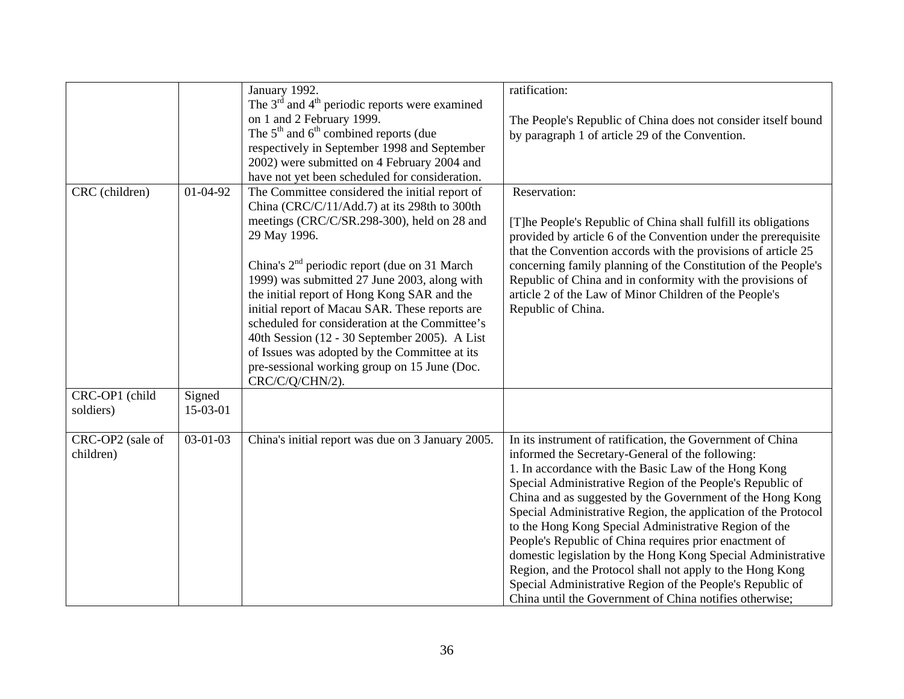|                  |                | January 1992.                                             | ratification:                                                  |
|------------------|----------------|-----------------------------------------------------------|----------------------------------------------------------------|
|                  |                | The $3rd$ and $4th$ periodic reports were examined        |                                                                |
|                  |                | on 1 and 2 February 1999.                                 | The People's Republic of China does not consider itself bound  |
|                  |                | The $5th$ and $6th$ combined reports (due                 | by paragraph 1 of article 29 of the Convention.                |
|                  |                | respectively in September 1998 and September              |                                                                |
|                  |                | 2002) were submitted on 4 February 2004 and               |                                                                |
|                  |                | have not yet been scheduled for consideration.            |                                                                |
| CRC (children)   | 01-04-92       | The Committee considered the initial report of            | Reservation:                                                   |
|                  |                | China (CRC/C/11/Add.7) at its 298th to 300th              |                                                                |
|                  |                | meetings (CRC/C/SR.298-300), held on 28 and               | [T]he People's Republic of China shall fulfill its obligations |
|                  |                | 29 May 1996.                                              | provided by article 6 of the Convention under the prerequisite |
|                  |                |                                                           | that the Convention accords with the provisions of article 25  |
|                  |                | China's 2 <sup>nd</sup> periodic report (due on 31 March) | concerning family planning of the Constitution of the People's |
|                  |                | 1999) was submitted 27 June 2003, along with              | Republic of China and in conformity with the provisions of     |
|                  |                | the initial report of Hong Kong SAR and the               | article 2 of the Law of Minor Children of the People's         |
|                  |                | initial report of Macau SAR. These reports are            | Republic of China.                                             |
|                  |                | scheduled for consideration at the Committee's            |                                                                |
|                  |                | 40th Session (12 - 30 September 2005). A List             |                                                                |
|                  |                | of Issues was adopted by the Committee at its             |                                                                |
|                  |                | pre-sessional working group on 15 June (Doc.              |                                                                |
|                  |                | CRC/C/Q/CHN/2).                                           |                                                                |
| CRC-OP1 (child   | Signed         |                                                           |                                                                |
| soldiers)        | 15-03-01       |                                                           |                                                                |
|                  |                |                                                           |                                                                |
| CRC-OP2 (sale of | $03 - 01 - 03$ | China's initial report was due on 3 January 2005.         | In its instrument of ratification, the Government of China     |
| children)        |                |                                                           | informed the Secretary-General of the following:               |
|                  |                |                                                           | 1. In accordance with the Basic Law of the Hong Kong           |
|                  |                |                                                           | Special Administrative Region of the People's Republic of      |
|                  |                |                                                           | China and as suggested by the Government of the Hong Kong      |
|                  |                |                                                           | Special Administrative Region, the application of the Protocol |
|                  |                |                                                           | to the Hong Kong Special Administrative Region of the          |
|                  |                |                                                           | People's Republic of China requires prior enactment of         |
|                  |                |                                                           | domestic legislation by the Hong Kong Special Administrative   |
|                  |                |                                                           | Region, and the Protocol shall not apply to the Hong Kong      |
|                  |                |                                                           | Special Administrative Region of the People's Republic of      |
|                  |                |                                                           | China until the Government of China notifies otherwise;        |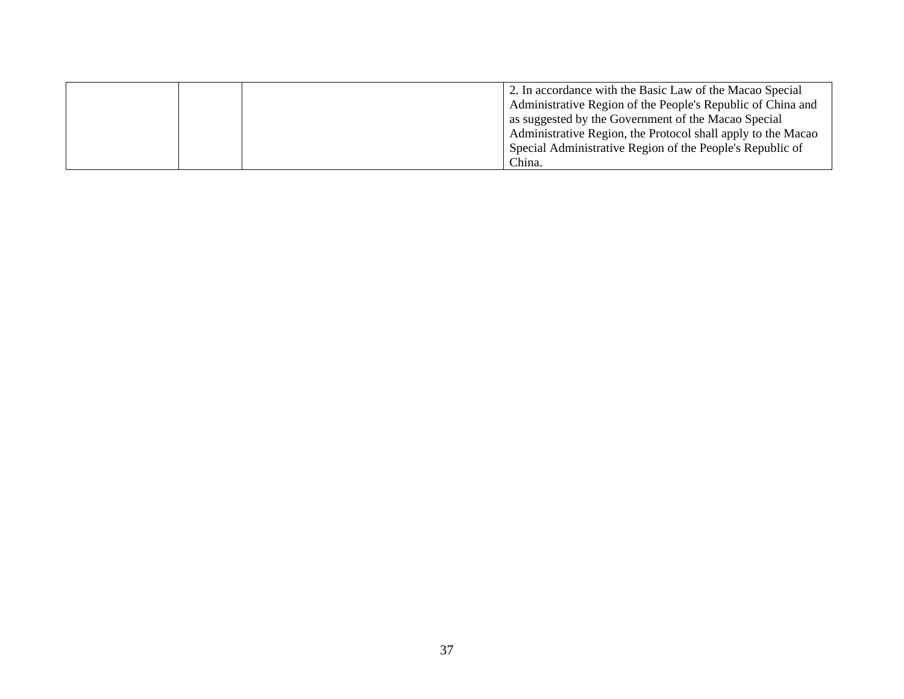|  | 2. In accordance with the Basic Law of the Macao Special     |
|--|--------------------------------------------------------------|
|  | Administrative Region of the People's Republic of China and  |
|  | as suggested by the Government of the Macao Special          |
|  | Administrative Region, the Protocol shall apply to the Macao |
|  | Special Administrative Region of the People's Republic of    |
|  | China.                                                       |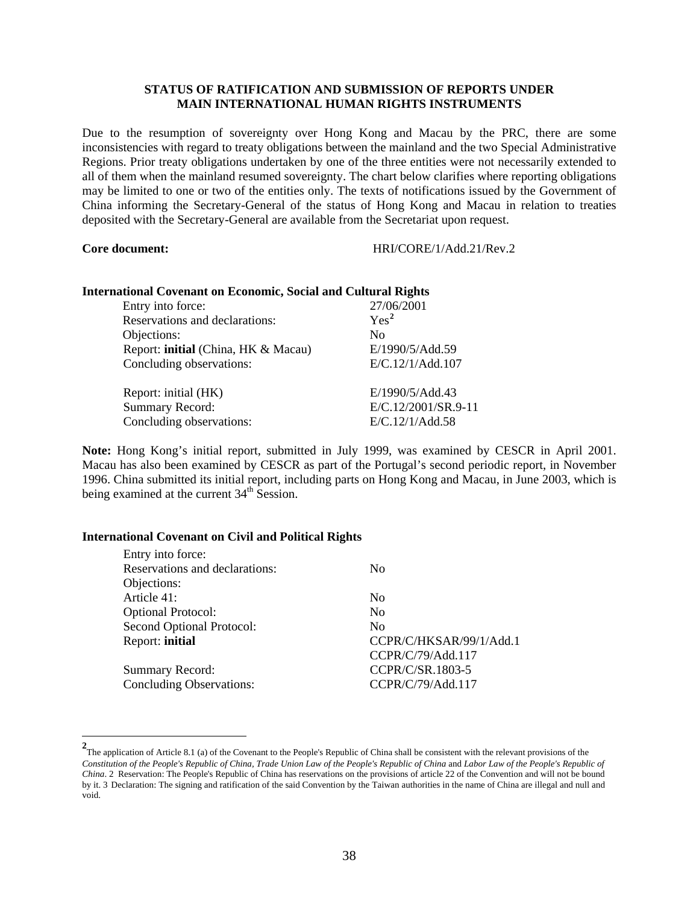## **STATUS OF RATIFICATION AND SUBMISSION OF REPORTS UNDER MAIN INTERNATIONAL HUMAN RIGHTS INSTRUMENTS**

<span id="page-37-0"></span>Due to the resumption of sovereignty over Hong Kong and Macau by the PRC, there are some inconsistencies with regard to treaty obligations between the mainland and the two Special Administrative Regions. Prior treaty obligations undertaken by one of the three entities were not necessarily extended to all of them when the mainland resumed sovereignty. The chart below clarifies where reporting obligations may be limited to one or two of the entities only. The texts of notifications issued by the Government of China informing the Secretary-General of the status of Hong Kong and Macau in relation to treaties deposited with the Secretary-General are available from the Secretariat upon request.

#### **Core document:** HRI/CORE/1/Add.21/Rev.2

#### **International Covenant on Economic, Social and Cultural Rights**

| Entry into force:                   | 27/06/2001          |
|-------------------------------------|---------------------|
| Reservations and declarations:      | Yes <sup>2</sup>    |
| Objections:                         | $\rm No$            |
| Report: initial (China, HK & Macau) | E/1990/5/Add.59     |
| Concluding observations:            | E/C.12/1/Add.107    |
| Report: initial (HK)                | E/1990/5/Add.43     |
| <b>Summary Record:</b>              | E/C.12/2001/SR.9-11 |
| Concluding observations:            | E/C.12/1/Add.58     |

**Note:** Hong Kong's initial report, submitted in July 1999, was examined by CESCR in April 2001. Macau has also been examined by CESCR as part of the Portugal's second periodic report, in November 1996. China submitted its initial report, including parts on Hong Kong and Macau, in June 2003, which is being examined at the current 34<sup>th</sup> Session.

## **International Covenant on Civil and Political Rights**

| Entry into force:               |                         |
|---------------------------------|-------------------------|
| Reservations and declarations:  | N <sub>0</sub>          |
| Objections:                     |                         |
| Article 41:                     | N <sub>0</sub>          |
| <b>Optional Protocol:</b>       | $\rm No$                |
| Second Optional Protocol:       | $\rm No$                |
| Report: initial                 | CCPR/C/HKSAR/99/1/Add.1 |
|                                 | CCPR/C/79/Add.117       |
| <b>Summary Record:</b>          | CCPR/C/SR.1803-5        |
| <b>Concluding Observations:</b> | CCPR/C/79/Add.117       |
|                                 |                         |

<sup>&</sup>lt;sup>2</sup><br>
The application of Article 8.1 (a) of the Covenant to the People's Republic of China shall be consistent with the relevant provisions of the *Constitution of the People's Republic of China, Trade Union Law of the People's Republic of China* and *Labor Law of the People's Republic of China*. 2 Reservation: The People's Republic of China has reservations on the provisions of article 22 of the Convention and will not be bound by it. 3 Declaration: The signing and ratification of the said Convention by the Taiwan authorities in the name of China are illegal and null and void.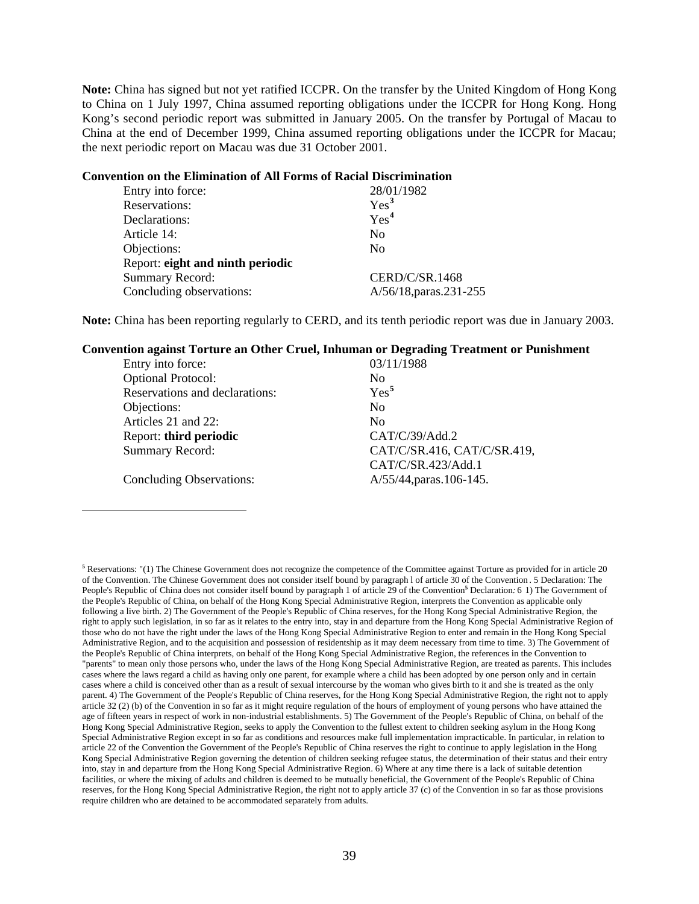<span id="page-38-0"></span>**Note:** China has signed but not yet ratified ICCPR. On the transfer by the United Kingdom of Hong Kong to China on 1 July 1997, China assumed reporting obligations under the ICCPR for Hong Kong. Hong Kong's second periodic report was submitted in January 2005. On the transfer by Portugal of Macau to China at the end of December 1999, China assumed reporting obligations under the ICCPR for Macau; the next periodic report on Macau was due 31 October 2001.

#### **Convention on the Elimination of All Forms of Racial Discrimination**

 $\overline{a}$ 

| Entry into force:                | 28/01/1982              |
|----------------------------------|-------------------------|
| Reservations:                    | Yes <sup>3</sup>        |
| Declarations:                    | Yes <sup>4</sup>        |
| Article 14:                      | N <sub>0</sub>          |
| Objections:                      | N <sub>0</sub>          |
| Report: eight and ninth periodic |                         |
| <b>Summary Record:</b>           | CERD/C/SR.1468          |
| Concluding observations:         | A/56/18, paras. 231-255 |

**Note:** China has been reporting regularly to CERD, and its tenth periodic report was due in January 2003.

#### **Convention against Torture an Other Cruel, Inhuman or Degrading Treatment or Punishment**

| Entry into force:               | 03/11/1988                  |
|---------------------------------|-----------------------------|
| <b>Optional Protocol:</b>       | No                          |
| Reservations and declarations:  | Yes <sup>5</sup>            |
| Objections:                     | N <sub>0</sub>              |
| Articles 21 and 22:             | N <sub>0</sub>              |
| Report: third periodic          | CAT/C/39/Add.2              |
| <b>Summary Record:</b>          | CAT/C/SR.416, CAT/C/SR.419, |
|                                 | CAT/C/SR.423/Add.1          |
| <b>Concluding Observations:</b> | A/55/44, paras. 106-145.    |

**<sup>5</sup>** Reservations: "(1) The Chinese Government does not recognize the competence of the Committee against Torture as provided for in article 20 of the Convention. The Chinese Government does not consider itself bound by paragraph l of article 30 of the Convention . 5 Declaration: The People's Republic of China does not consider itself bound by paragraph 1 of article 29 of the Convention<sup>5</sup> Declaration: 6 1) The Government of the People's Republic of China, on behalf of the Hong Kong Special Administrative Region, interprets the Convention as applicable only following a live birth. 2) The Government of the People's Republic of China reserves, for the Hong Kong Special Administrative Region, the right to apply such legislation, in so far as it relates to the entry into, stay in and departure from the Hong Kong Special Administrative Region of those who do not have the right under the laws of the Hong Kong Special Administrative Region to enter and remain in the Hong Kong Special Administrative Region, and to the acquisition and possession of residentship as it may deem necessary from time to time. 3) The Government of the People's Republic of China interprets, on behalf of the Hong Kong Special Administrative Region, the references in the Convention to "parents" to mean only those persons who, under the laws of the Hong Kong Special Administrative Region, are treated as parents. This includes cases where the laws regard a child as having only one parent, for example where a child has been adopted by one person only and in certain cases where a child is conceived other than as a result of sexual intercourse by the woman who gives birth to it and she is treated as the only parent. 4) The Government of the People's Republic of China reserves, for the Hong Kong Special Administrative Region, the right not to apply article 32 (2) (b) of the Convention in so far as it might require regulation of the hours of employment of young persons who have attained the age of fifteen years in respect of work in non-industrial establishments. 5) The Government of the People's Republic of China, on behalf of the Hong Kong Special Administrative Region, seeks to apply the Convention to the fullest extent to children seeking asylum in the Hong Kong Special Administrative Region except in so far as conditions and resources make full implementation impracticable. In particular, in relation to article 22 of the Convention the Government of the People's Republic of China reserves the right to continue to apply legislation in the Hong Kong Special Administrative Region governing the detention of children seeking refugee status, the determination of their status and their entry into, stay in and departure from the Hong Kong Special Administrative Region. 6) Where at any time there is a lack of suitable detention facilities, or where the mixing of adults and children is deemed to be mutually beneficial, the Government of the People's Republic of China reserves, for the Hong Kong Special Administrative Region, the right not to apply article 37 (c) of the Convention in so far as those provisions require children who are detained to be accommodated separately from adults.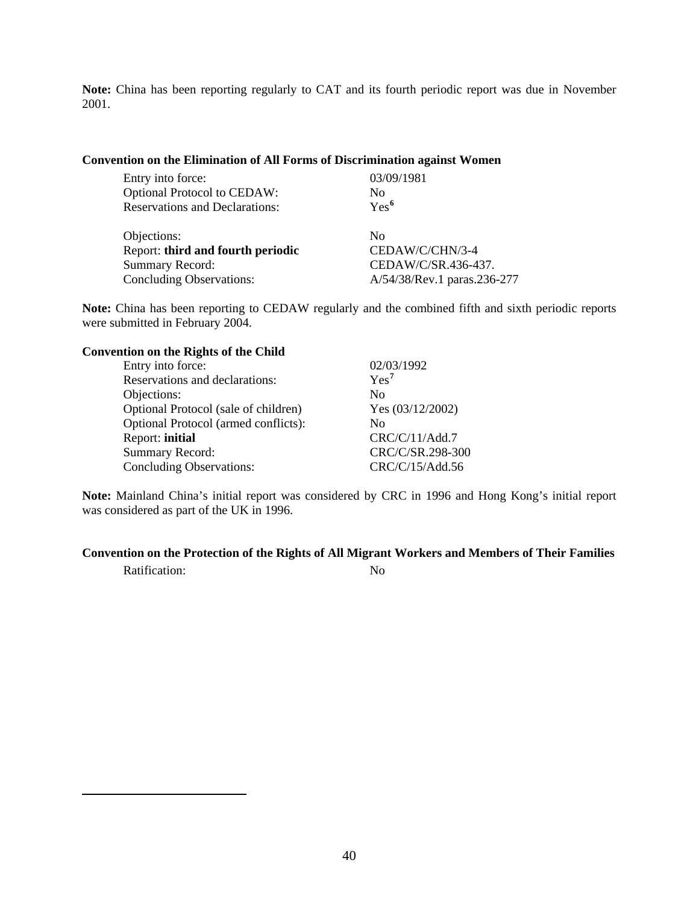<span id="page-39-0"></span>**Note:** China has been reporting regularly to CAT and its fourth periodic report was due in November 2001.

## **Convention on the Elimination of All Forms of Discrimination against Women**

| Entry into force:                     | 03/09/1981                  |
|---------------------------------------|-----------------------------|
| <b>Optional Protocol to CEDAW:</b>    | No                          |
| <b>Reservations and Declarations:</b> | $Yes^6$                     |
| Objections:                           | $\rm No$                    |
| Report: third and fourth periodic     | CEDAW/C/CHN/3-4             |
| <b>Summary Record:</b>                | CEDAW/C/SR.436-437.         |
| Concluding Observations:              | A/54/38/Rev.1 paras.236-277 |

**Note:** China has been reporting to CEDAW regularly and the combined fifth and sixth periodic reports were submitted in February 2004.

| <b>Convention on the Rights of the Child</b> |                  |
|----------------------------------------------|------------------|
| Entry into force:                            | 02/03/1992       |
| Reservations and declarations:               | Yes <sup>7</sup> |
| Objections:                                  | N <sub>0</sub>   |
| Optional Protocol (sale of children)         | Yes (03/12/2002) |
| Optional Protocol (armed conflicts):         | Nο               |
| Report: initial                              | CRC/C/11/Add.7   |
| <b>Summary Record:</b>                       | CRC/C/SR.298-300 |
| <b>Concluding Observations:</b>              | CRC/C/15/Add.56  |

**Note:** Mainland China's initial report was considered by CRC in 1996 and Hong Kong's initial report was considered as part of the UK in 1996.

# **Convention on the Protection of the Rights of All Migrant Workers and Members of Their Families**

Ratification: No

 $\overline{a}$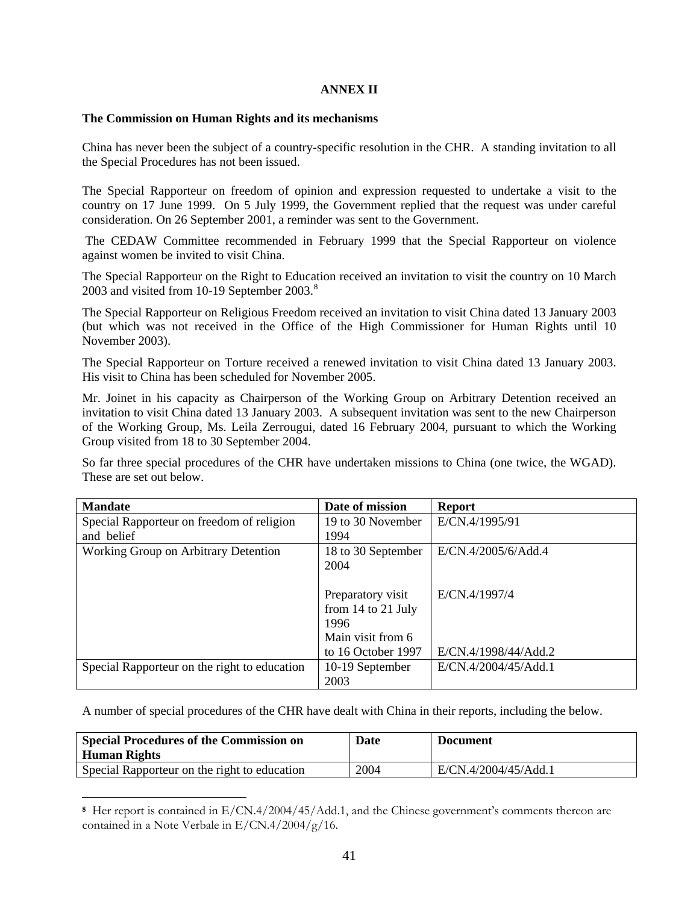## **ANNEX II**

## <span id="page-40-0"></span>**The Commission on Human Rights and its mechanisms**

China has never been the subject of a country-specific resolution in the CHR. A standing invitation to all the Special Procedures has not been issued.

The Special Rapporteur on freedom of opinion and expression requested to undertake a visit to the country on 17 June 1999. On 5 July 1999, the Government replied that the request was under careful consideration. On 26 September 2001, a reminder was sent to the Government.

 The CEDAW Committee recommended in February 1999 that the Special Rapporteur on violence against women be invited to visit China.

The Special Rapporteur on the Right to Education received an invitation to visit the country on 10 March 2003 and visited from 10-19 September 2003.<sup>[8](#page-40-0)</sup>

The Special Rapporteur on Religious Freedom received an invitation to visit China dated 13 January 2003 (but which was not received in the Office of the High Commissioner for Human Rights until 10 November 2003).

The Special Rapporteur on Torture received a renewed invitation to visit China dated 13 January 2003. His visit to China has been scheduled for November 2005.

Mr. Joinet in his capacity as Chairperson of the Working Group on Arbitrary Detention received an invitation to visit China dated 13 January 2003. A subsequent invitation was sent to the new Chairperson of the Working Group, Ms. Leila Zerrougui, dated 16 February 2004, pursuant to which the Working Group visited from 18 to 30 September 2004.

So far three special procedures of the CHR have undertaken missions to China (one twice, the WGAD). These are set out below.

| <b>Mandate</b>                               | Date of mission    | <b>Report</b>        |
|----------------------------------------------|--------------------|----------------------|
| Special Rapporteur on freedom of religion    | 19 to 30 November  | E/CN.4/1995/91       |
| and belief                                   | 1994               |                      |
| Working Group on Arbitrary Detention         | 18 to 30 September | E/CN.4/2005/6/Add.4  |
|                                              | 2004               |                      |
|                                              |                    |                      |
|                                              | Preparatory visit  | E/CN.4/1997/4        |
|                                              | from 14 to 21 July |                      |
|                                              | 1996               |                      |
|                                              | Main visit from 6  |                      |
|                                              | to 16 October 1997 | E/CN.4/1998/44/Add.2 |
| Special Rapporteur on the right to education | 10-19 September    | E/CN.4/2004/45/Add.1 |
|                                              | 2003               |                      |

A number of special procedures of the CHR have dealt with China in their reports, including the below.

| <b>Special Procedures of the Commission on</b><br>Human Rights | Date | <b>Document</b>      |
|----------------------------------------------------------------|------|----------------------|
| Special Rapporteur on the right to education                   | 2004 | E/CN.4/2004/45/Add.1 |

**<sup>8</sup>** Her report is contained in E/CN.4/2004/45/Add.1, and the Chinese government's comments thereon are contained in a Note Verbale in E/CN.4/2004/g/16.

 $\overline{a}$